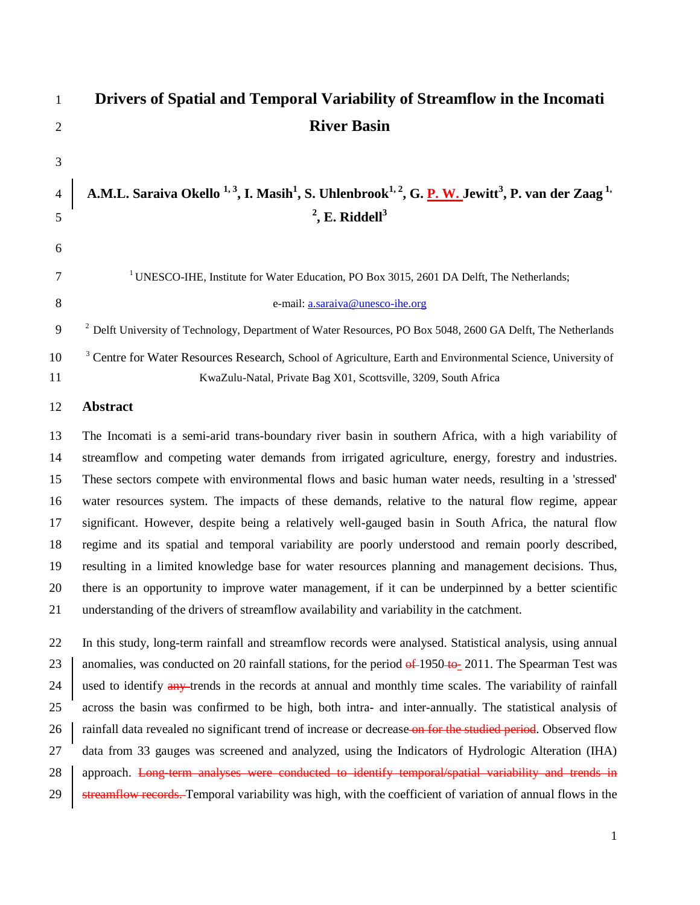|          | Drivers of Spatial and Temporal Variability of Streamflow in the Incomati                                                                                                                  |
|----------|--------------------------------------------------------------------------------------------------------------------------------------------------------------------------------------------|
| 2        | <b>River Basin</b>                                                                                                                                                                         |
| 3        |                                                                                                                                                                                            |
|          | A.M.L. Saraiva Okello <sup>1,3</sup> , I. Masih <sup>1</sup> , S. Uhlenbrook <sup>1,2</sup> , G. P. W. Jewitt <sup>3</sup> , P. van der Zaag <sup>1,</sup>                                 |
|          | $2$ , E. Riddell <sup>3</sup>                                                                                                                                                              |
| 6        |                                                                                                                                                                                            |
|          | <sup>1</sup> UNESCO-IHE, Institute for Water Education, PO Box 3015, 2601 DA Delft, The Netherlands;                                                                                       |
| 8        | e-mail: a.saraiva@unesco-ihe.org                                                                                                                                                           |
| 9        | <sup>2</sup> Delft University of Technology, Department of Water Resources, PO Box 5048, 2600 GA Delft, The Netherlands                                                                    |
| 10<br>11 | <sup>3</sup> Centre for Water Resources Research, School of Agriculture, Earth and Environmental Science, University of<br>KwaZulu-Natal, Private Bag X01, Scottsville, 3209, South Africa |

### **Abstract**

 The Incomati is a semi-arid trans-boundary river basin in southern Africa, with a high variability of streamflow and competing water demands from irrigated agriculture, energy, forestry and industries. These sectors compete with environmental flows and basic human water needs, resulting in a 'stressed' water resources system. The impacts of these demands, relative to the natural flow regime, appear significant. However, despite being a relatively well-gauged basin in South Africa, the natural flow regime and its spatial and temporal variability are poorly understood and remain poorly described, resulting in a limited knowledge base for water resources planning and management decisions. Thus, there is an opportunity to improve water management, if it can be underpinned by a better scientific understanding of the drivers of streamflow availability and variability in the catchment.

 In this study, long-term rainfall and streamflow records were analysed. Statistical analysis, using annual 23 anomalies, was conducted on 20 rainfall stations, for the period  $\frac{6}{1950}$  to- 2011. The Spearman Test was 24 used to identify  $\frac{any}{2}$  trends in the records at annual and monthly time scales. The variability of rainfall across the basin was confirmed to be high, both intra- and inter-annually. The statistical analysis of 26 | rainfall data revealed no significant trend of increase or decrease on for the studied period. Observed flow data from 33 gauges was screened and analyzed, using the Indicators of Hydrologic Alteration (IHA) 28 approach. Long-term analyses were conducted to identify temporal/spatial variability and trends in 29 <del>streamflow records.</del> Temporal variability was high, with the coefficient of variation of annual flows in the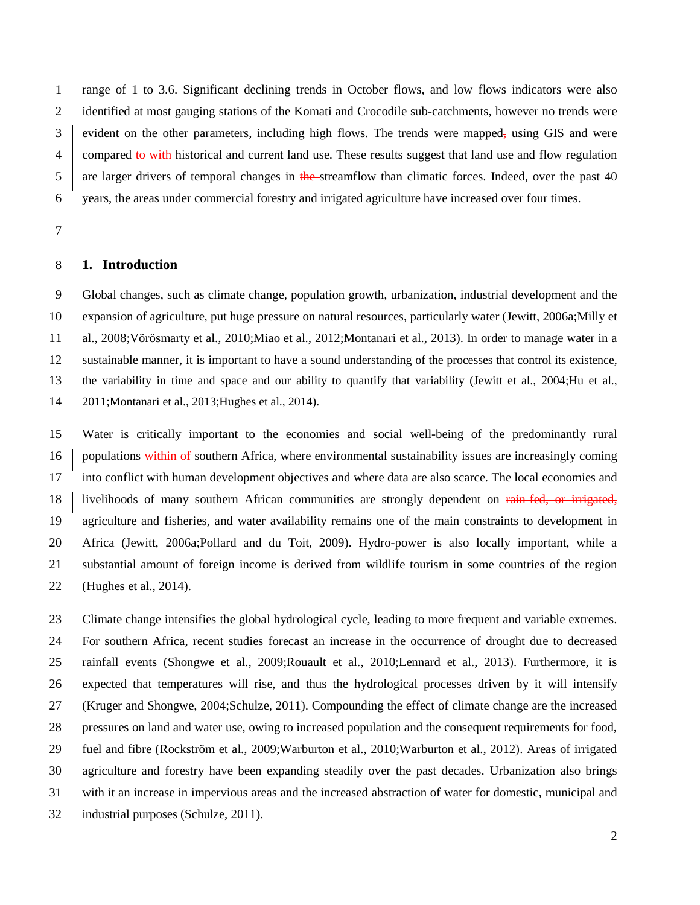range of 1 to 3.6. Significant declining trends in October flows, and low flows indicators were also identified at most gauging stations of the Komati and Crocodile sub-catchments, however no trends were 3 evident on the other parameters, including high flows. The trends were mapped, using GIS and were  $4 \times 4$  compared to with historical and current land use. These results suggest that land use and flow regulation  $5 \mid$  are larger drivers of temporal changes in the streamflow than climatic forces. Indeed, over the past 40 years, the areas under commercial forestry and irrigated agriculture have increased over four times.

## **1. Introduction**

 Global changes, such as climate change, population growth, urbanization, industrial development and the expansion of agriculture, put huge pressure on natural resources, particularly water [\(Jewitt, 2006a;](#page-17-0)[Milly et](#page-18-0)  [al., 2008](#page-18-0)[;Vörösmarty et al., 2010;](#page-21-0)[Miao et al., 2012](#page-18-1)[;Montanari et al., 2013\)](#page-18-2). In order to manage water in a sustainable manner, it is important to have a sound understanding of the processes that control its existence, the variability in time and space and our ability to quantify that variability [\(Jewitt et al., 2004](#page-17-1)[;Hu et al.,](#page-16-0)  [2011](#page-16-0)[;Montanari et al., 2013](#page-18-2)[;Hughes et al., 2014\)](#page-16-1).

 Water is critically important to the economies and social well-being of the predominantly rural 16 populations within of southern Africa, where environmental sustainability issues are increasingly coming into conflict with human development objectives and where data are also scarce. The local economies and 18 livelihoods of many southern African communities are strongly dependent on rain-fed, or irrigated, agriculture and fisheries, and water availability remains one of the main constraints to development in Africa [\(Jewitt, 2006a;](#page-17-0)[Pollard and du Toit, 2009\)](#page-19-0). Hydro-power is also locally important, while a substantial amount of foreign income is derived from wildlife tourism in some countries of the region [\(Hughes et al., 2014\)](#page-16-1).

 Climate change intensifies the global hydrological cycle, leading to more frequent and variable extremes. For southern Africa, recent studies forecast an increase in the occurrence of drought due to decreased rainfall events [\(Shongwe et al., 2009;](#page-20-0)[Rouault et al., 2010;](#page-20-1)[Lennard et al., 2013\)](#page-17-2). Furthermore, it is expected that temperatures will rise, and thus the hydrological processes driven by it will intensify [\(Kruger and Shongwe, 2004](#page-17-3)[;Schulze, 2011\)](#page-20-2). Compounding the effect of climate change are the increased pressures on land and water use, owing to increased population and the consequent requirements for food, fuel and fibre [\(Rockström et al., 2009;](#page-20-3)[Warburton et al., 2010](#page-21-1)[;Warburton et al., 2012\)](#page-21-2). Areas of irrigated agriculture and forestry have been expanding steadily over the past decades. Urbanization also brings with it an increase in impervious areas and the increased abstraction of water for domestic, municipal and industrial purposes [\(Schulze, 2011\)](#page-20-2).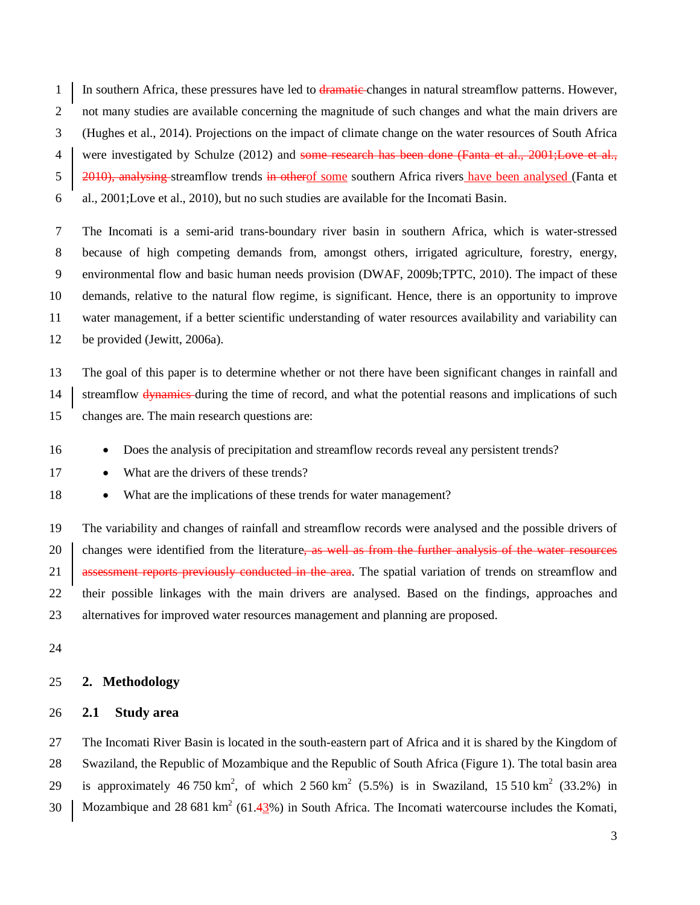1 In southern Africa, these pressures have led to dramatic changes in natural streamflow patterns. However, not many studies are available concerning the magnitude of such changes and what the main drivers are [\(Hughes et al., 2014\)](#page-16-1). Projections on the impact of climate change on the water resources of South Africa 4 were investigated by [Schulze \(2012\)](#page-20-4) and some research has been done [\(Fanta et al., 2001](#page-16-2);Love et al., [2010\)](#page-17-4), analysing streamflow trends in other of some southern Africa rivers have been analysed (Fanta et [al., 2001](#page-16-2)[;Love et al., 2010\)](#page-17-4), but no such studies are available for the Incomati Basin.

 The Incomati is a semi-arid trans-boundary river basin in southern Africa, which is water-stressed because of high competing demands from, amongst others, irrigated agriculture, forestry, energy, environmental flow and basic human needs provision [\(DWAF, 2009b](#page-16-3)[;TPTC, 2010\)](#page-20-5). The impact of these demands, relative to the natural flow regime, is significant. Hence, there is an opportunity to improve water management, if a better scientific understanding of water resources availability and variability can be provided [\(Jewitt, 2006a\)](#page-17-0).

 The goal of this paper is to determine whether or not there have been significant changes in rainfall and 14 streamflow dynamics-during the time of record, and what the potential reasons and implications of such changes are. The main research questions are:

- Does the analysis of precipitation and streamflow records reveal any persistent trends?
- 17 What are the drivers of these trends?
- 18 What are the implications of these trends for water management?

 The variability and changes of rainfall and streamflow records were analysed and the possible drivers of 20 changes were identified from the literature, as well as from the further analysis of the water resources **assessment reports previously conducted in the area**. The spatial variation of trends on streamflow and their possible linkages with the main drivers are analysed. Based on the findings, approaches and alternatives for improved water resources management and planning are proposed.

### **2. Methodology**

## **2.1 Study area**

 The Incomati River Basin is located in the south-eastern part of Africa and it is shared by the Kingdom of Swaziland, the Republic of Mozambique and the Republic of South Africa [\(Figure 1\)](#page-33-0). The total basin area 29 is approximately  $46\,750\,\text{km}^2$ , of which  $2\,560\,\text{km}^2$  (5.5%) is in Swaziland,  $15\,510\,\text{km}^2$  (33.2%) in 30 Mozambique and 28 681 km<sup>2</sup> (61.43%) in South Africa. The Incomati watercourse includes the Komati,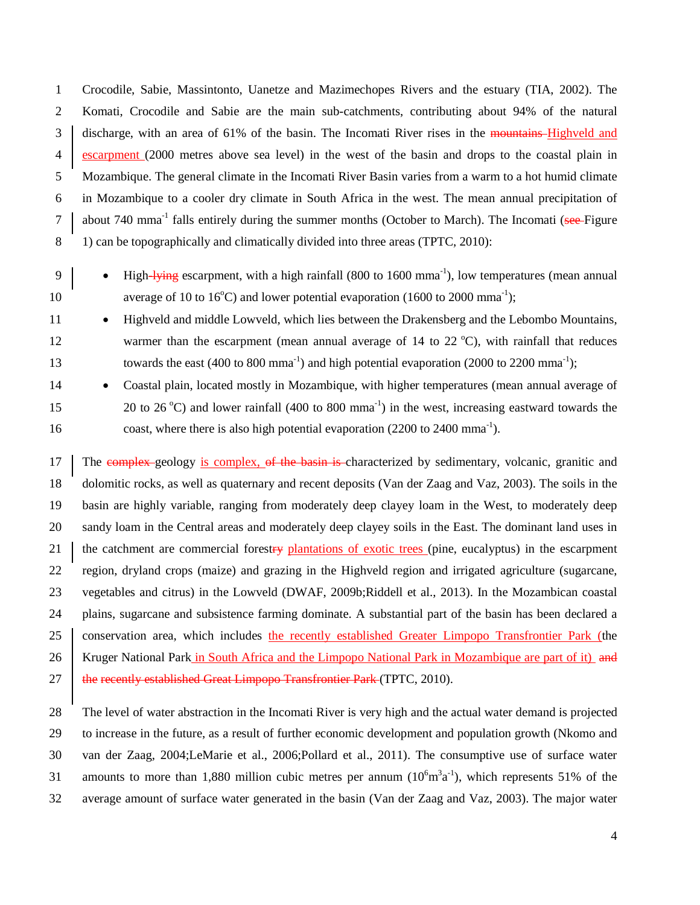Crocodile, Sabie, Massintonto, Uanetze and Mazimechopes Rivers and the estuary [\(TIA, 2002\)](#page-20-6). The Komati, Crocodile and Sabie are the main sub-catchments, contributing about 94% of the natural 3 discharge, with an area of 61% of the basin. The Incomati River rises in the mountains–Highveld and 4 escarpment (2000 metres above sea level) in the west of the basin and drops to the coastal plain in Mozambique. The general climate in the Incomati River Basin varies from a warm to a hot humid climate in Mozambique to a cooler dry climate in South Africa in the west. The mean annual precipitation of 7 about 740 mma<sup>-1</sup> falls entirely during the summer months (October to March). The Incomati (see-Figure [1\)](#page-33-0) can be topographically and climatically divided into three areas [\(TPTC, 2010\)](#page-20-5):

- 9 **•** High-lying escarpment, with a high rainfall (800 to 1600 mma<sup>-1</sup>), low temperatures (mean annual 10 average of 10 to 16<sup>o</sup>C) and lower potential evaporation (1600 to 2000 mma<sup>-1</sup>);
- 11 Highveld and middle Lowveld, which lies between the Drakensberg and the Lebombo Mountains, 12 warmer than the escarpment (mean annual average of 14 to  $22^{\circ}$ C), with rainfall that reduces towards the east  $(400 \text{ to } 800 \text{ mma}^{-1})$  and high potential evaporation  $(2000 \text{ to } 2200 \text{ mma}^{-1})$ ;
- 14 Coastal plain, located mostly in Mozambique, with higher temperatures (mean annual average of 15 20 to 26 °C) and lower rainfall (400 to 800 mma<sup>-1</sup>) in the west, increasing eastward towards the 16 coast, where there is also high potential evaporation  $(2200 \text{ to } 2400 \text{ mma}^{-1})$ .

17 The complex geology is complex, of the basin is characterized by sedimentary, volcanic, granitic and dolomitic rocks, as well as quaternary and recent deposits [\(Van der Zaag and Vaz, 2003\)](#page-21-3). The soils in the basin are highly variable, ranging from moderately deep clayey loam in the West, to moderately deep sandy loam in the Central areas and moderately deep clayey soils in the East. The dominant land uses in 21 the catchment are commercial forestry plantations of exotic trees (pine, eucalyptus) in the escarpment region, dryland crops (maize) and grazing in the Highveld region and irrigated agriculture (sugarcane, vegetables and citrus) in the Lowveld [\(DWAF, 2009b](#page-16-3)[;Riddell et al., 2013\)](#page-20-7). In the Mozambican coastal plains, sugarcane and subsistence farming dominate. A substantial part of the basin has been declared a 25 conservation area, which includes the recently established Greater Limpopo Transfrontier Park (the 26 Kruger National Park in South Africa and the Limpopo National Park in Mozambique are part of it) and **the recently established Great Limpopo Transfrontier Park** [\(TPTC, 2010\)](#page-20-5).

 The level of water abstraction in the Incomati River is very high and the actual water demand is projected to increase in the future, as a result of further economic development and population growth [\(Nkomo and](#page-19-1)  [van der Zaag, 2004](#page-19-1)[;LeMarie et al., 2006](#page-17-5)[;Pollard et al., 2011\)](#page-19-2). The consumptive use of surface water 31 amounts to more than 1,880 million cubic metres per annum  $(10^6 \text{m}^3 \text{a}^{-1})$ , which represents 51% of the average amount of surface water generated in the basin [\(Van der Zaag and Vaz, 2003\)](#page-21-3). The major water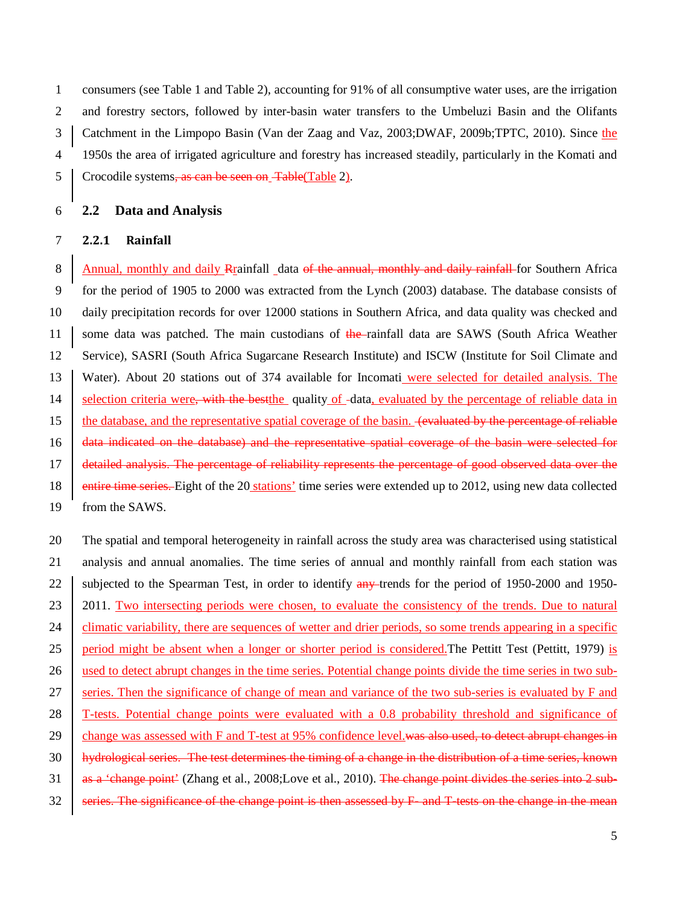consumers (see [Table 1](#page-22-0) and Table 2), accounting for 91% of all consumptive water uses, are the irrigation and forestry sectors, followed by inter-basin water transfers to the Umbeluzi Basin and the Olifants Catchment in the Limpopo Basin [\(Van der Zaag and Vaz, 2003](#page-21-3)[;DWAF, 2009b;](#page-16-3)[TPTC, 2010\)](#page-20-5). Since the 1950s the area of irrigated agriculture and forestry has increased steadily, particularly in the Komati and Crocodile systems, as can be seen on Table(Table 2).

#### **2.2 Data and Analysis**

#### **2.2.1 Rainfall**

8 Annual, monthly and daily Rrainfall data of the annual, monthly and daily rainfall for Southern Africa for the period of 1905 to 2000 was extracted from the [Lynch \(2003\)](#page-18-3) database. The database consists of daily precipitation records for over 12000 stations in Southern Africa, and data quality was checked and 11 some data was patched. The main custodians of the rainfall data are SAWS (South Africa Weather Service), SASRI (South Africa Sugarcane Research Institute) and ISCW (Institute for Soil Climate and Water). About 20 stations out of 374 available for Incomati were selected for detailed analysis. The 14 selection criteria were, with the bestthe quality of -data, evaluated by the percentage of reliable data in 15 the database, and the representative spatial coverage of the basin. (evaluated by the percentage of reliable data indicated on the database) and the representative spatial coverage of the basin were selected for 17 detailed analysis. The percentage of reliability represents the percentage of good observed data over the 18 entire time series. Eight of the 20 stations' time series were extended up to 2012, using new data collected from the SAWS.

 The spatial and temporal heterogeneity in rainfall across the study area was characterised using statistical analysis and annual anomalies. The time series of annual and monthly rainfall from each station was 22 Subjected to the Spearman Test, in order to identify any trends for the period of 1950-2000 and 1950- 2011. Two intersecting periods were chosen, to evaluate the consistency of the trends. Due to natural **climatic variability, there are sequences of wetter and drier periods, so some trends appearing in a specific**  period might be absent when a longer or shorter period is considered.The Pettitt Test [\(Pettitt, 1979\)](#page-19-3) is used to detect abrupt changes in the time series. Potential change points divide the time series in two sub-27 series. Then the significance of change of mean and variance of the two sub-series is evaluated by F and T-tests. Potential change points were evaluated with a 0.8 probability threshold and significance of  $\parallel$  change was assessed with F and T-test at 95% confidence level. was also used, to detect abrupt changes in hydrological series. The test determines the timing of a change in the distribution of a time series, known 31 as a 'change point' [\(Zhang et al., 2008](#page-21-4)[;Love et al., 2010\)](#page-17-4). The change point divides the series into 2 sub-series. The significance of the change point is then assessed by  $F$ - and T-tests on the change in the mean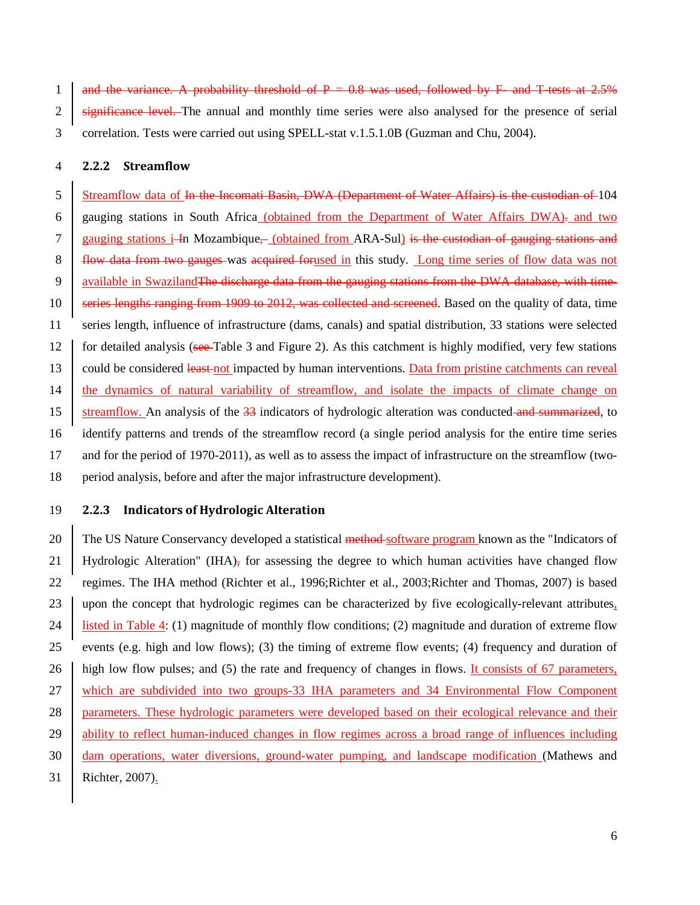1 and the variance. A probability threshold of  $P = 0.8$  was used, followed by F and T tests at 2.5% 2 significance level. The annual and monthly time series were also analysed for the presence of serial 3 correlation. Tests were carried out using SPELL-stat v.1.5.1.0B [\(Guzman and Chu, 2004\)](#page-16-4).

#### 4 **2.2.2 Streamflow**

5 Streamflow data of In the Incomati Basin, DWA (Department of Water Affairs) is the custodian of 104 6 gauging stations in South Africa (obtained from the Department of Water Affairs DWA). and two 7 gauging stations i-In Mozambique, (obtained from ARA-Sul) is the custodian of gauging stations and 8 flow data from two gauges was acquired for used in this study. Long time series of flow data was not 9 available in SwazilandThe discharge data from the gauging stations from the DWA database, with time-10 series lengths ranging from 1909 to 2012, was collected and screened. Based on the quality of data, time 11 series length, influence of infrastructure (dams, canals) and spatial distribution, 33 stations were selected 12 for detailed analysis (see [Table 3](#page-24-0) and [Figure 2\)](#page-33-1). As this catchment is highly modified, very few stations 13 could be considered least not impacted by human interventions. Data from pristine catchments can reveal 14 the dynamics of natural variability of streamflow, and isolate the impacts of climate change on 15 Streamflow. An analysis of the 33 indicators of hydrologic alteration was conducted and summarized, to 16 identify patterns and trends of the streamflow record (a single period analysis for the entire time series 17 and for the period of 1970-2011), as well as to assess the impact of infrastructure on the streamflow (two-18 period analysis, before and after the major infrastructure development).

19 **2.2.3 Indicators of Hydrologic Alteration**

20 The US Nature Conservancy developed a statistical method-software program known as the "Indicators of 21 Hydrologic Alteration" (IHA), for assessing the degree to which human activities have changed flow regimes. The IHA method [\(Richter et al., 1996;](#page-19-4)[Richter et al., 2003](#page-20-8)[;Richter and Thomas, 2007\)](#page-20-9) is based upon the concept that hydrologic regimes can be characterized by five ecologically-relevant attributes, listed in Table 4: (1) magnitude of monthly flow conditions; (2) magnitude and duration of extreme flow events (e.g. high and low flows); (3) the timing of extreme flow events; (4) frequency and duration of high low flow pulses; and (5) the rate and frequency of changes in flows. It consists of 67 parameters, which are subdivided into two groups-33 IHA parameters and 34 Environmental Flow Component parameters. These hydrologic parameters were developed based on their ecological relevance and their ability to reflect human-induced changes in flow regimes across a broad range of influences including dam operations, water diversions, ground-water pumping, and landscape modification [\(Mathews and](#page-18-4)  [Richter, 2007\)](#page-18-4).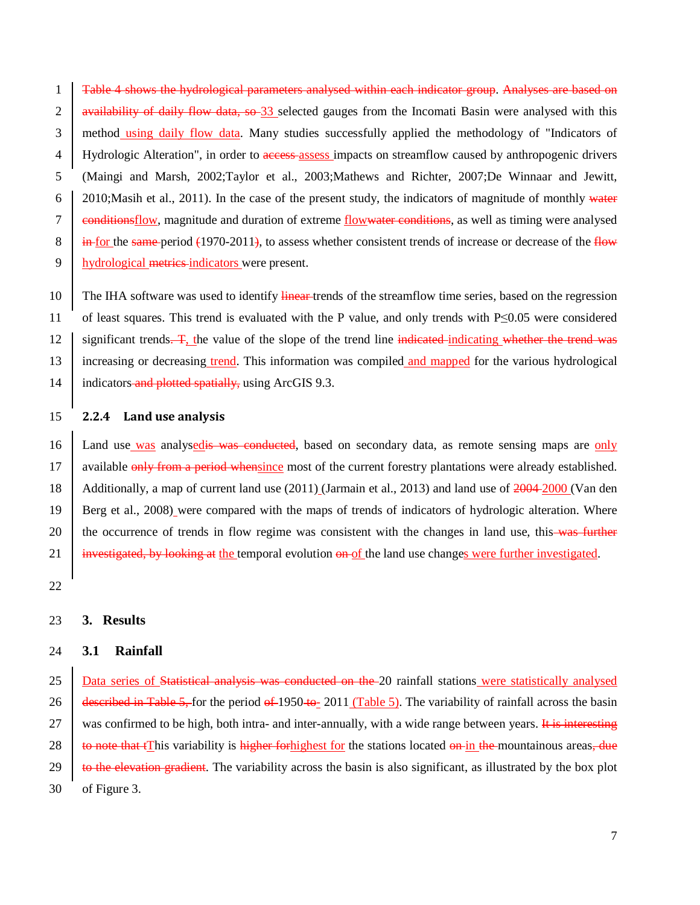1 **[Table 4](#page-26-0) shows the hydrological parameters analysed within each indicator group. Analyses are based on** 2  $\vert$  availability of daily flow data, so 33 selected gauges from the Incomati Basin were analysed with this 3 method using daily flow data. Many studies successfully applied the methodology of "Indicators of 4 Hydrologic Alteration", in order to access-assess impacts on streamflow caused by anthropogenic drivers 5 [\(Maingi and Marsh, 2002;](#page-18-5)[Taylor et al., 2003](#page-20-10)[;Mathews and Richter, 2007](#page-18-4)[;De Winnaar and Jewitt,](#page-16-5)   $6 \mid 2010;$  $6 \mid 2010;$  $6 \mid 2010;$ Masih et al., 2011). In the case of the present study, the indicators of magnitude of monthly water 7 **conditions** flow, magnitude and duration of extreme flowwater conditions, as well as timing were analysed 8 in for the same-period (1970-2011), to assess whether consistent trends of increase or decrease of the flow 9 hydrological metrics indicators were present.

10 The IHA software was used to identify linear-trends of the streamflow time series, based on the regression 11 of least squares. This trend is evaluated with the P value, and only trends with P≤0.05 were considered 12 significant trends.  $\overline{+}$ , the value of the slope of the trend line indicated indicating whether the trend was 13 increasing or decreasing trend. This information was compiled and mapped for the various hydrological 14 indicators and plotted spatially, using ArcGIS 9.3.

#### 15 **2.2.4 Land use analysis**

16 Land use was analysed is was conducted, based on secondary data, as remote sensing maps are only 17 available only from a period whensince most of the current forestry plantations were already established. 18 Additionally, a map of current land use (2011) [\(Jarmain et al., 2013\)](#page-17-6) and land use of 2004-2000 (Van den 19 [Berg et al., 2008\)](#page-21-5) were compared with the maps of trends of indicators of hydrologic alteration. Where 20 the occurrence of trends in flow regime was consistent with the changes in land use, this was further 21 investigated, by looking at the temporal evolution on of the land use changes were further investigated.

22

#### 23 **3. Results**

## 24 **3.1 Rainfall**

- 25 Data series of Statistical analysis was conducted on the 20 rainfall stations were statistically analysed
- 26 described in Table 5, for the period  $\frac{6-1950}{10}$  to- 2011 (Table 5). The variability of rainfall across the basin
- 27 was confirmed to be high, both intra- and inter-annually, with a wide range between years. It is interesting

28 to note that tThis variability is higher forhighest for the stations located on in the mountainous areas, due

- 29  $\frac{1}{2}$  to the elevation gradient. The variability across the basin is also significant, as illustrated by the box plot
- 30 of [Figure 3.](#page-33-2)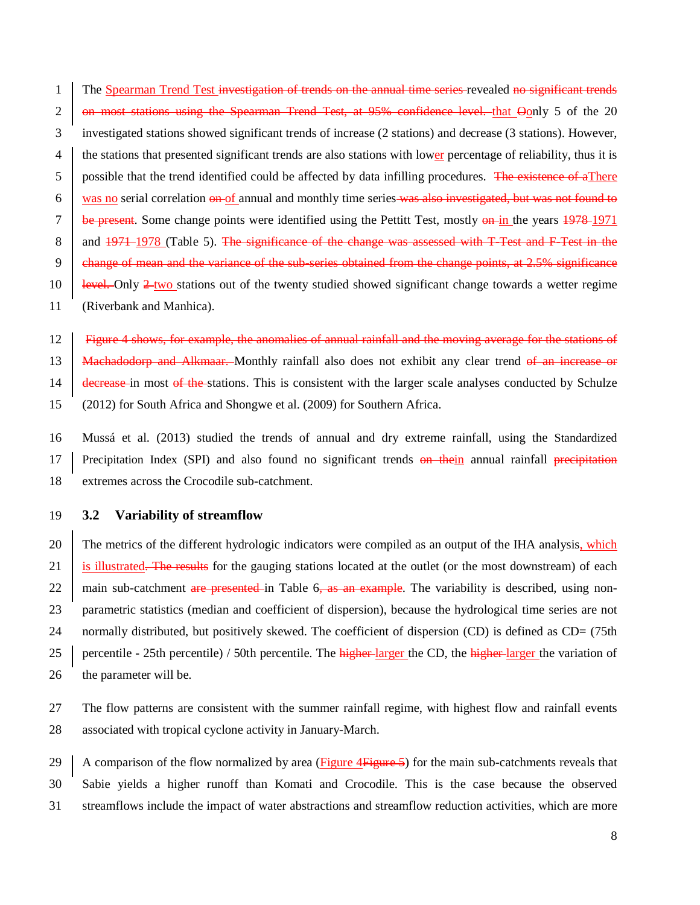1 The Spearman Trend Test investigation of trends on the annual time series revealed no significant trends 2 on most stations using the Spearman Trend Test, at 95% confidence level. that Oonly 5 of the 20 3 investigated stations showed significant trends of increase (2 stations) and decrease (3 stations). However, <sup>4</sup> the stations that presented significant trends are also stations with lower percentage of reliability, thus it is 5 possible that the trend identified could be affected by data infilling procedures. The existence of aThere 6 was no serial correlation on of annual and monthly time series was also investigated, but was not found to 7 be present. Some change points were identified using the Pettitt Test, mostly  $\theta$ -in the years  $\frac{1978}{1971}$ 8 and 1971–1978 [\(Table 5\)](#page-27-0). The significance of the change was assessed with T-Test and F-Test in the 9 change of mean and the variance of the sub-series obtained from the change points, at 2.5% significance 10 **level.** Only 2-two stations out of the twenty studied showed significant change towards a wetter regime

11 (Riverbank and Manhica).

12 [Figure 4](#page-33-3) shows, for example, the anomalies of annual rainfall and the moving average for the stations of 13 Machadodorp and Alkmaar. Monthly rainfall also does not exhibit any clear trend of an increase or

14 decrease in most of the stations. This is consistent with the larger scale analyses conducted by Schulze

15 (2012) for South Africa and [Shongwe et al. \(2009\)](#page-20-0) for Southern Africa.

16 [Mussá et al. \(2013\)](#page-19-5) studied the trends of annual and dry extreme rainfall, using the Standardized 17 Precipitation Index (SPI) and also found no significant trends on thein annual rainfall precipitation 18 extremes across the Crocodile sub-catchment.

## 19 **3.2 Variability of streamflow**

20 The metrics of the different hydrologic indicators were compiled as an output of the IHA analysis, which 21 is illustrated. The results for the gauging stations located at the outlet (or the most downstream) of each 22 main sub-catchment are presented in Table  $6$ , as an example. The variability is described, using non-23 parametric statistics (median and coefficient of dispersion), because the hydrological time series are not 24 normally distributed, but positively skewed. The coefficient of dispersion (CD) is defined as CD= (75th 25 percentile - 25th percentile) / 50th percentile. The higher-larger the CD, the higher-larger the variation of 26 the parameter will be.

- 27 The flow patterns are consistent with the summer rainfall regime, with highest flow and rainfall events 28 associated with tropical cyclone activity in January-March.
- 29 A comparison of the flow normalized by area (Figure  $4$ Figure  $-$ 5) for the main sub-catchments reveals that 30 Sabie yields a higher runoff than Komati and Crocodile. This is the case because the observed 31 streamflows include the impact of water abstractions and streamflow reduction activities, which are more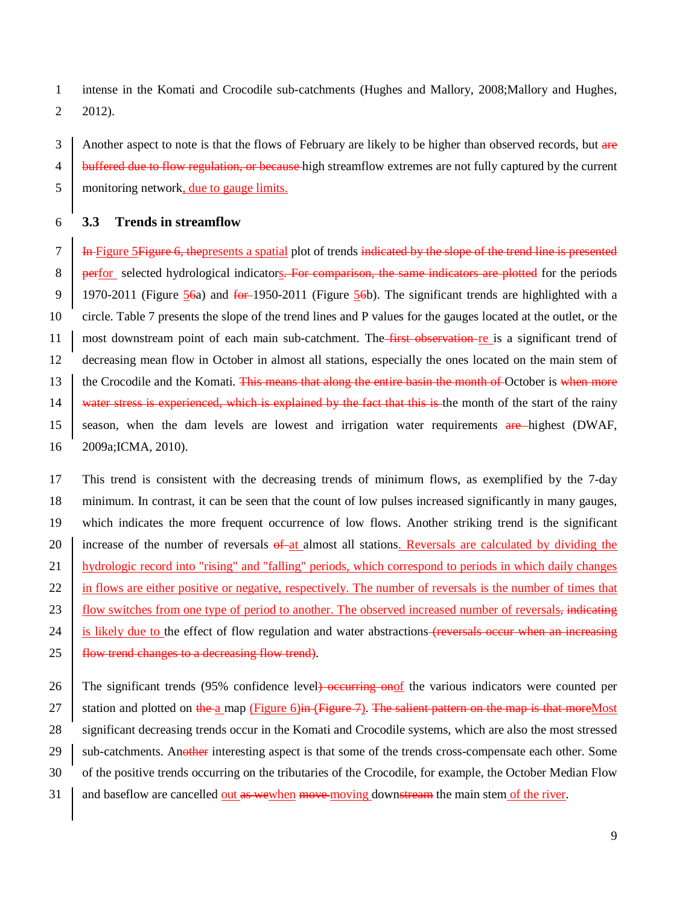1 intense in the Komati and Crocodile sub-catchments [\(Hughes and Mallory, 2008;](#page-16-6)[Mallory and Hughes,](#page-18-7)  2 [2012\)](#page-18-7).

3 Another aspect to note is that the flows of February are likely to be higher than observed records, but are

<sup>4</sup> buffered due to flow regulation, or because high streamflow extremes are not fully captured by the current 5 monitoring network, due to gauge limits.

#### 6 **3.3 Trends in streamflow**

7 | In Figure 5 Figure 6, the presents a spatial plot of trends indicated by the slope of the trend line is presented 8 perfor selected hydrological indicators. For comparison, the same indicators are plotted for the periods 9 1970-2011 (Figure 56a) and  $\overline{60r}$ -1950-2011 (Figure 56b). The significant trends are highlighted with a 10 circle. Table 7 presents the slope of the trend lines and P values for the gauges located at the outlet, or the 11 most downstream point of each main sub-catchment. The first observation re is a significant trend of 12 decreasing mean flow in October in almost all stations, especially the ones located on the main stem of 13 the Crocodile and the Komati. This means that along the entire basin the month of October is when more 14 water stress is experienced, which is explained by the fact that this is the month of the start of the rainy 15 season, when the dam levels are lowest and irrigation water requirements are highest (DWAF, 16 [2009a](#page-16-7)[;ICMA, 2010\)](#page-17-7).

17 This trend is consistent with the decreasing trends of minimum flows, as exemplified by the 7-day 18 minimum. In contrast, it can be seen that the count of low pulses increased significantly in many gauges, 19 which indicates the more frequent occurrence of low flows. Another striking trend is the significant 20 increase of the number of reversals  $\sigma$  at almost all stations. Reversals are calculated by dividing the 21 hydrologic record into "rising" and "falling" periods, which correspond to periods in which daily changes 22 in flows are either positive or negative, respectively. The number of reversals is the number of times that 23 flow switches from one type of period to another. The observed increased number of reversals, indicating 24 is likely due to the effect of flow regulation and water abstractions (reversals occur when an increasing 25 **flow trend changes to a decreasing flow trend).** 

26 The significant trends (95% confidence level) occurring onof the various indicators were counted per 27 station and plotted on the a map (Figure 6) in [\(Figure 7\)](#page-33-6). The salient pattern on the map is that more Most 28 significant decreasing trends occur in the Komati and Crocodile systems, which are also the most stressed 29 | sub-catchments. Another interesting aspect is that some of the trends cross-compensate each other. Some 30 of the positive trends occurring on the tributaries of the Crocodile, for example, the October Median Flow  $31$  and baseflow are cancelled <u>out as wewhen move moving</u> downstream the main stem of the river.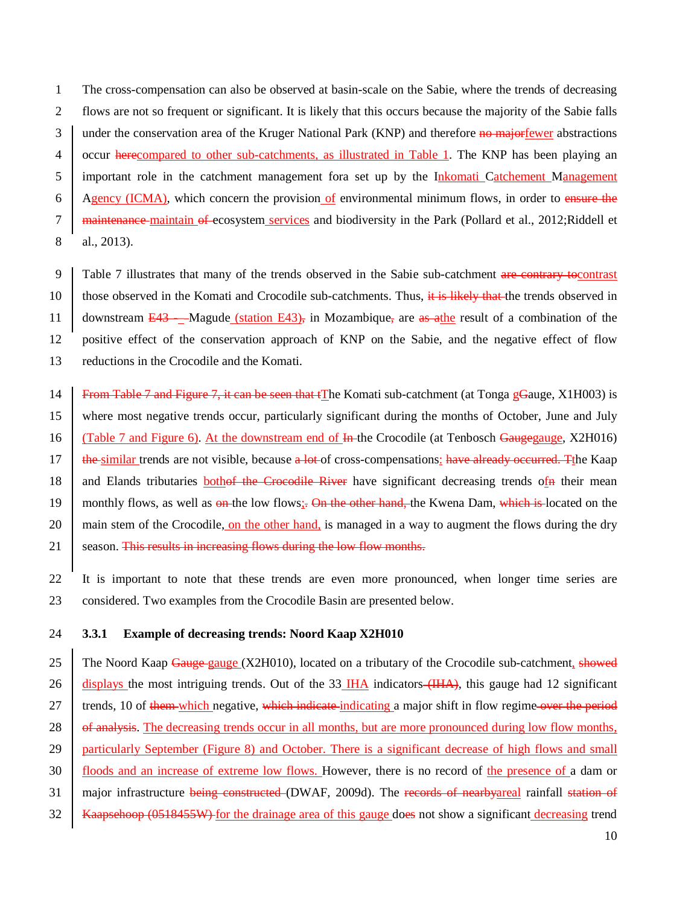1 The cross-compensation can also be observed at basin-scale on the Sabie, where the trends of decreasing 2 flows are not so frequent or significant. It is likely that this occurs because the majority of the Sabie falls 3 under the conservation area of the Kruger National Park (KNP) and therefore no majorfewer abstractions 4 occur herecompared to other sub-catchments, as illustrated in Table 1. The KNP has been playing an 5 important role in the catchment management fora set up by the Inkomati Catchement Management 6 Agency (ICMA), which concern the provision of environmental minimum flows, in order to ensure the 7 maintenance maintain of ecosystem services and biodiversity in the Park [\(Pollard et al., 2012](#page-19-6); Riddell et 8 [al., 2013\)](#page-20-7).

9 Table 7 illustrates that many of the trends observed in the Sabie sub-catchment are contrary to contrast 10 those observed in the Komati and Crocodile sub-catchments. Thus, it is likely that the trends observed in 11 downstream  $E43$ —Magude (station E43), in Mozambique, are as athe result of a combination of the 12 positive effect of the conservation approach of KNP on the Sabie, and the negative effect of flow 13 reductions in the Crocodile and the Komati.

14 From [Table 7](#page-31-0) and [Figure 7,](#page-33-6) it can be seen that tThe Komati sub-catchment (at Tonga gGauge, X1H003) is 15 where most negative trends occur, particularly significant during the months of October, June and July 16 [\(Table 7](#page-31-0) and [Figure 6\)](#page-33-6). At the downstream end of In-the Crocodile (at Tenbosch Gaugegauge, X2H016) 17 **the similar trends are not visible, because a lot of cross-compensations:** have already occurred. The Kaap 18 and Elands tributaries bothof the Crocodile River have significant decreasing trends of their mean 19 monthly flows, as well as  $\theta$ -the low flows;. On the other hand, the Kwena Dam, which is located on the 20 main stem of the Crocodile, on the other hand, is managed in a way to augment the flows during the dry 21 Season. This results in increasing flows during the low flow months.

22 It is important to note that these trends are even more pronounced, when longer time series are 23 considered. Two examples from the Crocodile Basin are presented below.

## 24 **3.3.1 Example of decreasing trends: Noord Kaap X2H010**

25 The Noord Kaap Gauge (X2H010), located on a tributary of the Crocodile sub-catchment, showed 26 displays the most intriguing trends. Out of the 33 IHA indicators (IHA), this gauge had 12 significant 27 trends, 10 of them which negative, which indicate indicating a major shift in flow regime over the period 28 of analysis. The decreasing trends occur in all months, but are more pronounced during low flow months, 29 particularly September [\(Figure 8\)](#page-33-7) and October. There is a significant decrease of high flows and small

30 floods and an increase of extreme low flows. However, there is no record of the presence of a dam or

31 major infrastructure being constructed [\(DWAF, 2009d\)](#page-16-8). The records of nearbyareal rainfall station of

32 Kaapsehoop (0518455W) for the drainage area of this gauge does not show a significant decreasing trend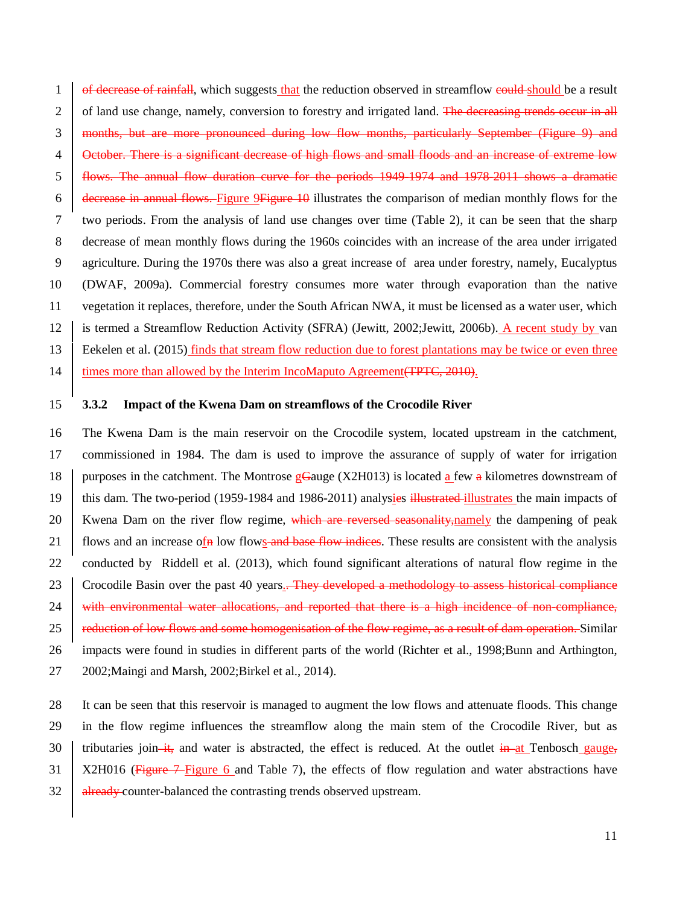$1 \mid \theta$  of decrease of rainfall, which suggests that the reduction observed in streamflow could should be a result 2 of land use change, namely, conversion to forestry and irrigated land. The decreasing trends occur in all months, but are more pronounced during low flow months, particularly September [\(Figure 9\)](#page-33-7) and October. There is a significant decrease of high flows and small floods and an increase of extreme low flows. The annual flow duration curve for the periods 1949-1974 and 1978-2011 shows a dramatic 6 decrease in annual flows. Figure Figure  $10$  illustrates the comparison of median monthly flows for the two periods. From the analysis of land use changes over time [\(Table 2\)](#page-23-0), it can be seen that the sharp decrease of mean monthly flows during the 1960s coincides with an increase of the area under irrigated agriculture. During the 1970s there was also a great increase of area under forestry, namely, Eucalyptus [\(DWAF, 2009a\)](#page-16-7). Commercial forestry consumes more water through evaporation than the native vegetation it replaces, therefore, under the South African NWA, it must be licensed as a water user, which is termed a Streamflow Reduction Activity (SFRA) [\(Jewitt, 2002;](#page-17-8)[Jewitt, 2006b\)](#page-17-9). A recent study by [van](#page-21-6)  Eekelen et al. (2015) finds that stream flow reduction due to forest plantations may be twice or even three

14 times more than allowed by the Interim IncoMaputo Agreement(TPTC, 2010).

#### **3.3.2 Impact of the Kwena Dam on streamflows of the Crocodile River**

 The Kwena Dam is the main reservoir on the Crocodile system, located upstream in the catchment, commissioned in 1984. The dam is used to improve the assurance of supply of water for irrigation 18 purposes in the catchment. The Montrose gGauge (X2H013) is located a few  $\alpha$  kilometres downstream of 19 this dam. The two-period (1959-1984 and 1986-2011) analysies illustrated-illustrates the main impacts of 20 Kwena Dam on the river flow regime, which are reversed seasonality, namely the dampening of peak 21 flows and an increase of  $\hat{n}$  low flows and base flow indices. These results are consistent with the analysis conducted by [Riddell et al. \(2013\),](#page-20-7) which found significant alterations of natural flow regime in the 23 Crocodile Basin over the past 40 years.. They developed a methodology to assess historical compliance 24 with environmental water allocations, and reported that there is a high incidence of non-compliance, **reduction of low flows and some homogenisation of the flow regime, as a result of dam operation.** Similar impacts were found in studies in different parts of the world [\(Richter et al., 1998](#page-19-7)[;Bunn and Arthington,](#page-16-9)  [2002](#page-16-9)[;Maingi and Marsh, 2002;](#page-18-5)[Birkel et al., 2014\)](#page-16-10).

 It can be seen that this reservoir is managed to augment the low flows and attenuate floods. This change in the flow regime influences the streamflow along the main stem of the Crocodile River, but as 30 tributaries join  $\frac{d}{dt}$  and water is abstracted, the effect is reduced. At the outlet  $\frac{d}{dt}$  at Tenbosch gauge, X2H016 [\(Figure 7](#page-33-6) [Figure 6](#page-33-6) and [Table 7\)](#page-31-0), the effects of flow regulation and water abstractions have **already** counter-balanced the contrasting trends observed upstream.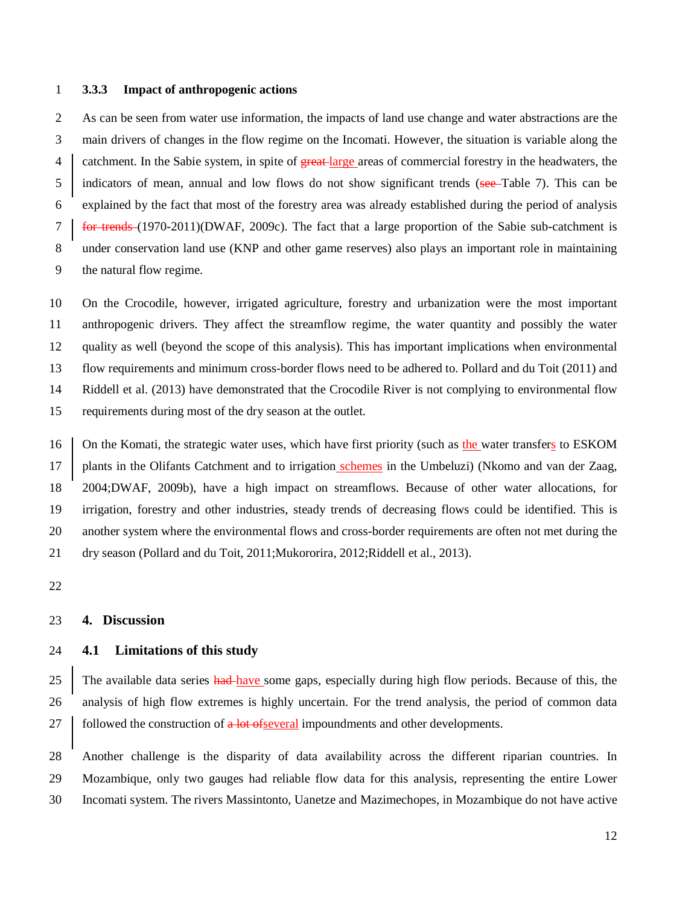#### **3.3.3 Impact of anthropogenic actions**

 As can be seen from water use information, the impacts of land use change and water abstractions are the main drivers of changes in the flow regime on the Incomati. However, the situation is variable along the 4 catchment. In the Sabie system, in spite of great-large areas of commercial forestry in the headwaters, the 5 indicators of mean, annual and low flows do not show significant trends (see [Table 7\)](#page-31-0). This can be explained by the fact that most of the forestry area was already established during the period of analysis 7 for trends (1970-2011)[\(DWAF, 2009c\)](#page-16-11). The fact that a large proportion of the Sabie sub-catchment is under conservation land use (KNP and other game reserves) also plays an important role in maintaining the natural flow regime.

 On the Crocodile, however, irrigated agriculture, forestry and urbanization were the most important anthropogenic drivers. They affect the streamflow regime, the water quantity and possibly the water quality as well (beyond the scope of this analysis). This has important implications when environmental flow requirements and minimum cross-border flows need to be adhered to. [Pollard and du Toit \(2011\)](#page-19-8) and [Riddell et al. \(2013\)](#page-20-7) have demonstrated that the Crocodile River is not complying to environmental flow requirements during most of the dry season at the outlet.

16 On the Komati, the strategic water uses, which have first priority (such as the water transfers to ESKOM plants in the Olifants Catchment and to irrigation schemes in the Umbeluzi) [\(Nkomo and van der Zaag,](#page-19-1)  [2004](#page-19-1)[;DWAF, 2009b\)](#page-16-3), have a high impact on streamflows. Because of other water allocations, for irrigation, forestry and other industries, steady trends of decreasing flows could be identified. This is another system where the environmental flows and cross-border requirements are often not met during the dry season [\(Pollard and du Toit, 2011](#page-19-8)[;Mukororira, 2012](#page-18-8)[;Riddell et al., 2013\)](#page-20-7).

#### **4. Discussion**

## **4.1 Limitations of this study**

25 The available data series  $\frac{had-have}{amp}$  some gaps, especially during high flow periods. Because of this, the analysis of high flow extremes is highly uncertain. For the trend analysis, the period of common data 27 followed the construction of  $\frac{1}{x}$  betoffered impoundments and other developments.

 Another challenge is the disparity of data availability across the different riparian countries. In Mozambique, only two gauges had reliable flow data for this analysis, representing the entire Lower Incomati system. The rivers Massintonto, Uanetze and Mazimechopes, in Mozambique do not have active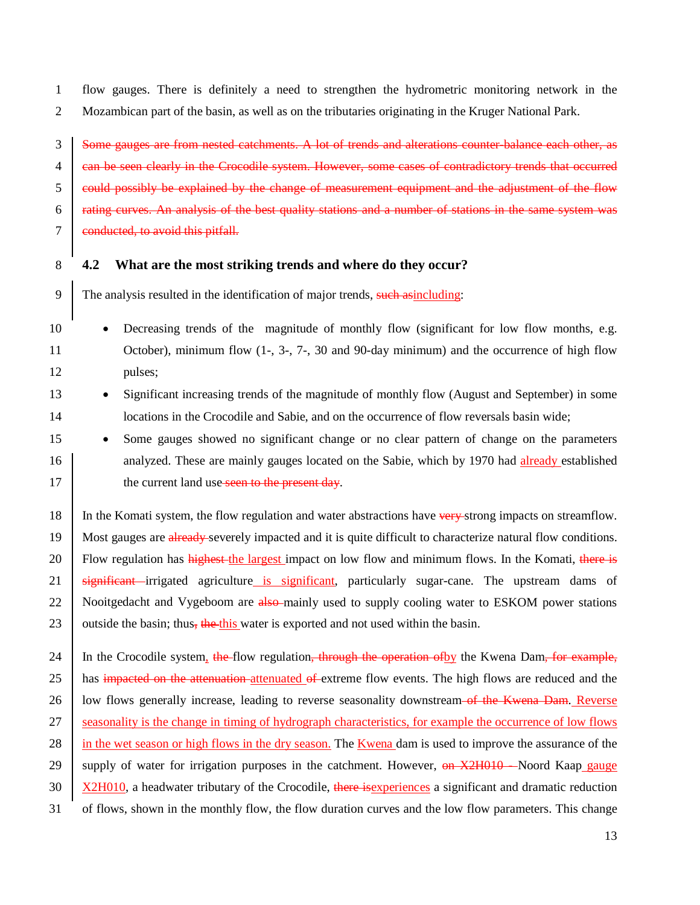1 flow gauges. There is definitely a need to strengthen the hydrometric monitoring network in the 2 Mozambican part of the basin, as well as on the tributaries originating in the Kruger National Park.

3 Some gauges are from nested catchments. A lot of trends and alterations counter-balance each other, as <sup>4</sup> can be seen clearly in the Crocodile system. However, some cases of contradictory trends that occurred 5 could possibly be explained by the change of measurement equipment and the adjustment of the flow 6 rating curves. An analysis of the best quality stations and a number of stations in the same system was  $7$  eonducted, to avoid this pitfall.

## 8 **4.2 What are the most striking trends and where do they occur?**

9 The analysis resulted in the identification of major trends, such as including:

- 10 Decreasing trends of the magnitude of monthly flow (significant for low flow months, e.g. 11 October), minimum flow (1-, 3-, 7-, 30 and 90-day minimum) and the occurrence of high flow 12 pulses:
- 13 Significant increasing trends of the magnitude of monthly flow (August and September) in some 14 locations in the Crocodile and Sabie, and on the occurrence of flow reversals basin wide;
- 15 Some gauges showed no significant change or no clear pattern of change on the parameters 16 analyzed. These are mainly gauges located on the Sabie, which by 1970 had already established 17 the current land use seen to the present day.

18 In the Komati system, the flow regulation and water abstractions have very-strong impacts on streamflow. 19 Most gauges are already severely impacted and it is quite difficult to characterize natural flow conditions. 20 Flow regulation has highest the largest impact on low flow and minimum flows. In the Komati, there is 21 significant irrigated agriculture is significant, particularly sugar-cane. The upstream dams of 22 Nooitgedacht and Vygeboom are also-mainly used to supply cooling water to ESKOM power stations 23 outside the basin; thus, the this water is exported and not used within the basin.

24 In the Crocodile system, the flow regulation, through the operation of by the Kwena Dam, for example, 25 has impacted on the attenuation attenuated of extreme flow events. The high flows are reduced and the 26 low flows generally increase, leading to reverse seasonality downstream of the Kwena Dam. Reverse 27 seasonality is the change in timing of hydrograph characteristics, for example the occurrence of low flows 28 in the wet season or high flows in the dry season. The Kwena dam is used to improve the assurance of the 29 supply of water for irrigation purposes in the catchment. However, on X2H010 - Noord Kaap gauge  $30\,$  X2H010, a headwater tributary of the Crocodile, there is experiences a significant and dramatic reduction 31 of flows, shown in the monthly flow, the flow duration curves and the low flow parameters. This change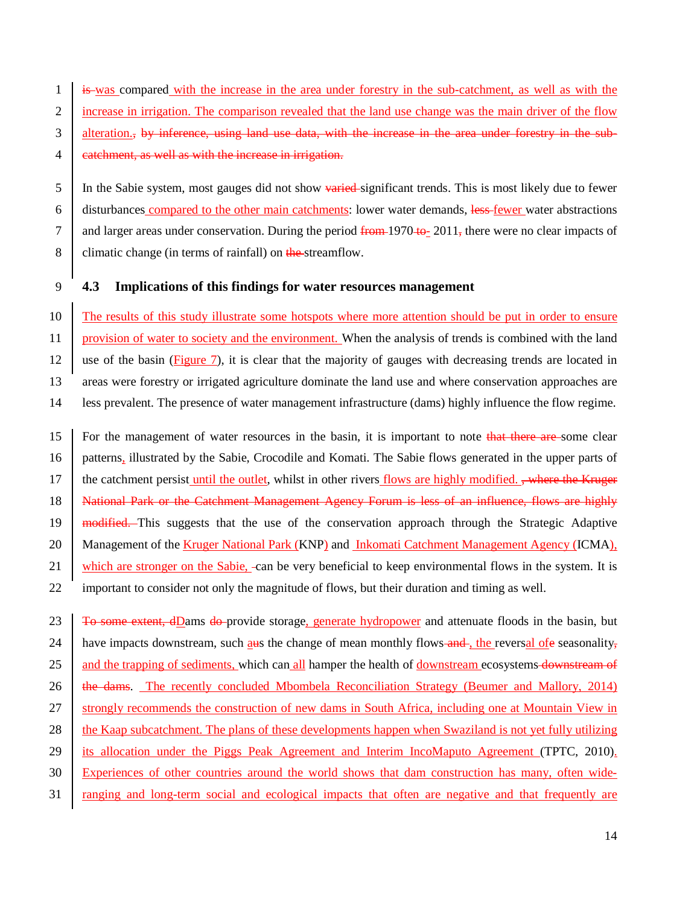1 is was compared with the increase in the area under forestry in the sub-catchment, as well as with the

2 increase in irrigation. The comparison revealed that the land use change was the main driver of the flow

3 alteration., by inference, using land use data, with the increase in the area under forestry in the sub-

4 **catchment, as well as with the increase in irrigation.** 

 $5$  In the Sabie system, most gauges did not show varied significant trends. This is most likely due to fewer 6 disturbances compared to the other main catchments: lower water demands, less-fewer water abstractions 7 and larger areas under conservation. During the period  $f_{\rm f}$  from 1970 to-2011, there were no clear impacts of 8 climatic change (in terms of rainfall) on the streamflow.

## 9 **4.3 Implications of this findings for water resources management**

 The results of this study illustrate some hotspots where more attention should be put in order to ensure provision of water to society and the environment. When the analysis of trends is combined with the land use of the basin [\(Figure 7\)](#page-33-8), it is clear that the majority of gauges with decreasing trends are located in areas were forestry or irrigated agriculture dominate the land use and where conservation approaches are less prevalent. The presence of water management infrastructure (dams) highly influence the flow regime.

15 For the management of water resources in the basin, it is important to note that there are some clear 16 patterns, illustrated by the Sabie, Crocodile and Komati. The Sabie flows generated in the upper parts of 17 the catchment persist until the outlet, whilst in other rivers flows are highly modified.  $\frac{1}{2}$  where the Kruger 18 National Park or the Catchment Management Agency Forum is less of an influence, flows are highly 19 **modified.** This suggests that the use of the conservation approach through the Strategic Adaptive 20 Management of the Kruger National Park (KNP) and Inkomati Catchment Management Agency (ICMA), 21 which are stronger on the Sabie, -can be very beneficial to keep environmental flows in the system. It is 22 important to consider not only the magnitude of flows, but their duration and timing as well.

23 To some extent, dDams do provide storage, generate hydropower and attenuate floods in the basin, but 24 have impacts downstream, such aus the change of mean monthly flows and, the reversal of eseasonality. 25 and the trapping of sediments, which can all hamper the health of downstream ecosystems downstream of 26 the dams. The recently concluded Mbombela Reconciliation Strategy [\(Beumer and Mallory, 2014\)](#page-16-12) 27 strongly recommends the construction of new dams in South Africa, including one at Mountain View in 28 the Kaap subcatchment. The plans of these developments happen when Swaziland is not yet fully utilizing 29 its allocation under the Piggs Peak Agreement and Interim IncoMaputo Agreement [\(TPTC, 2010\)](#page-20-5). 30 Experiences of other countries around the world shows that dam construction has many, often wide-31 ranging and long-term social and ecological impacts that often are negative and that frequently are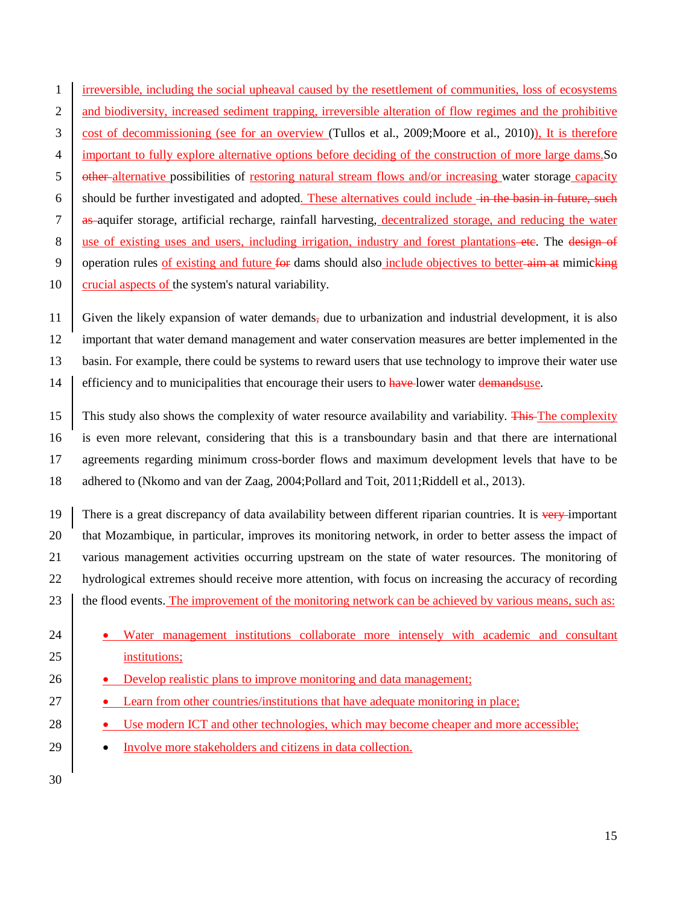1 irreversible, including the social upheaval caused by the resettlement of communities, loss of ecosystems 2 and biodiversity, increased sediment trapping, irreversible alteration of flow regimes and the prohibitive 3 cost of decommissioning (see for an overview [\(Tullos et al., 2009;](#page-21-7)[Moore et al., 2010\)](#page-18-9)), It is therefore 4 important to fully explore alternative options before deciding of the construction of more large dams. So 5 other alternative possibilities of restoring natural stream flows and/or increasing water storage capacity 6 should be further investigated and adopted. These alternatives could include in the basin in future, such 7 **as**-aquifer storage, artificial recharge, rainfall harvesting, decentralized storage, and reducing the water 8 use of existing uses and users, including irrigation, industry and forest plantations–ete. The design of 9 operation rules of existing and future for dams should also include objectives to better  $\frac{1}{2}$  aim at mimicking 10 crucial aspects of the system's natural variability.

 Given the likely expansion of water demands, due to urbanization and industrial development, it is also important that water demand management and water conservation measures are better implemented in the basin. For example, there could be systems to reward users that use technology to improve their water use 14 efficiency and to municipalities that encourage their users to have lower water demandsuse.

15 This study also shows the complexity of water resource availability and variability. This The complexity is even more relevant, considering that this is a transboundary basin and that there are international agreements regarding minimum cross-border flows and maximum development levels that have to be adhered to [\(Nkomo and van der Zaag, 2004;](#page-19-1)[Pollard and Toit, 2011;](#page-19-9)[Riddell et al., 2013\)](#page-20-7).

19 There is a great discrepancy of data availability between different riparian countries. It is very important 20 that Mozambique, in particular, improves its monitoring network, in order to better assess the impact of 21 various management activities occurring upstream on the state of water resources. The monitoring of 22 hydrological extremes should receive more attention, with focus on increasing the accuracy of recording 23 the flood events. The improvement of the monitoring network can be achieved by various means, such as:

24 • Water management institutions collaborate more intensely with academic and consultant 25 institutions;

- 26  **Develop realistic plans to improve monitoring and data management;**
- 27 **•** Learn from other countries/institutions that have adequate monitoring in place;
- 28 Use modern ICT and other technologies, which may become cheaper and more accessible;
- 29 Involve more stakeholders and citizens in data collection.

30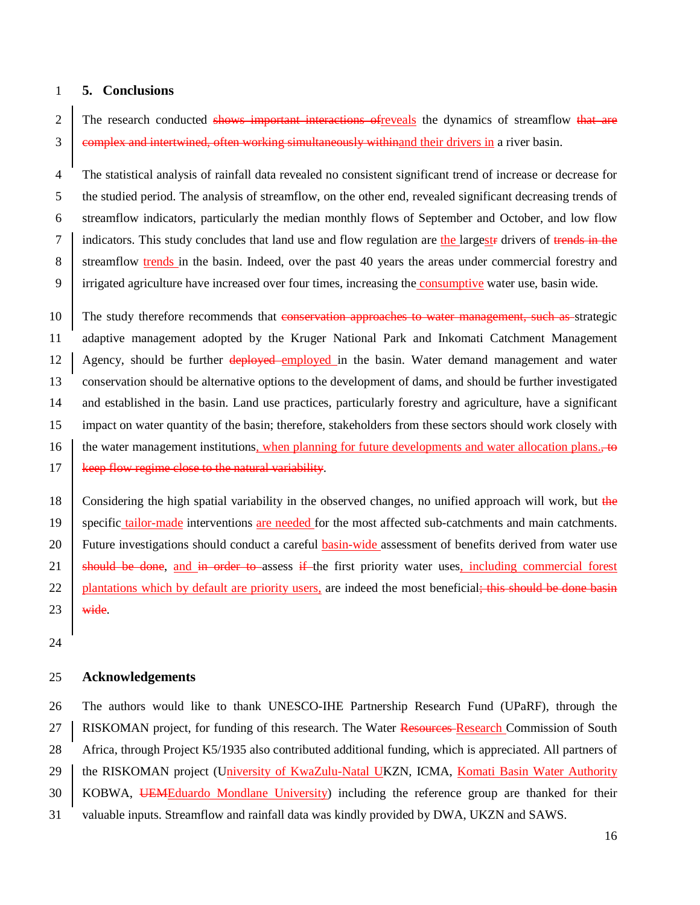### 1 **5. Conclusions**

2 The research conducted shows important interactions of reveals the dynamics of streamflow that are 3 complex and intertwined, often working simultaneously withinand their drivers in a river basin.

4 The statistical analysis of rainfall data revealed no consistent significant trend of increase or decrease for 5 the studied period. The analysis of streamflow, on the other end, revealed significant decreasing trends of 6 streamflow indicators, particularly the median monthly flows of September and October, and low flow 7 indicators. This study concludes that land use and flow regulation are the largest t drivers of trends in the 8 streamflow trends in the basin. Indeed, over the past 40 years the areas under commercial forestry and 9 irrigated agriculture have increased over four times, increasing the consumptive water use, basin wide.

10 The study therefore recommends that conservation approaches to water management, such as strategic adaptive management adopted by the Kruger National Park and Inkomati Catchment Management 12 Agency, should be further deployed employed in the basin. Water demand management and water conservation should be alternative options to the development of dams, and should be further investigated and established in the basin. Land use practices, particularly forestry and agriculture, have a significant impact on water quantity of the basin; therefore, stakeholders from these sectors should work closely with 16 the water management institutions, when planning for future developments and water allocation plans., to **keep flow regime close to the natural variability**.

18 Considering the high spatial variability in the observed changes, no unified approach will work, but the 19 specific **tailor-made** interventions are needed for the most affected sub-catchments and main catchments. 20 Future investigations should conduct a careful **basin-wide** assessment of benefits derived from water use 21 should be done, and in order to assess  $\frac{1}{2}$  the first priority water uses, including commercial forest 22 plantations which by default are priority users, are indeed the most beneficial; this should be done basin  $23$  wide.

24

### 25 **Acknowledgements**

26 The authors would like to thank UNESCO-IHE Partnership Research Fund (UPaRF), through the 27 RISKOMAN project, for funding of this research. The Water Resources-Research Commission of South 28 Africa, through Project K5/1935 also contributed additional funding, which is appreciated. All partners of 29 the RISKOMAN project (University of KwaZulu-Natal UKZN, ICMA, Komati Basin Water Authority 30 KOBWA, UEMEduardo Mondlane University) including the reference group are thanked for their 31 valuable inputs. Streamflow and rainfall data was kindly provided by DWA, UKZN and SAWS.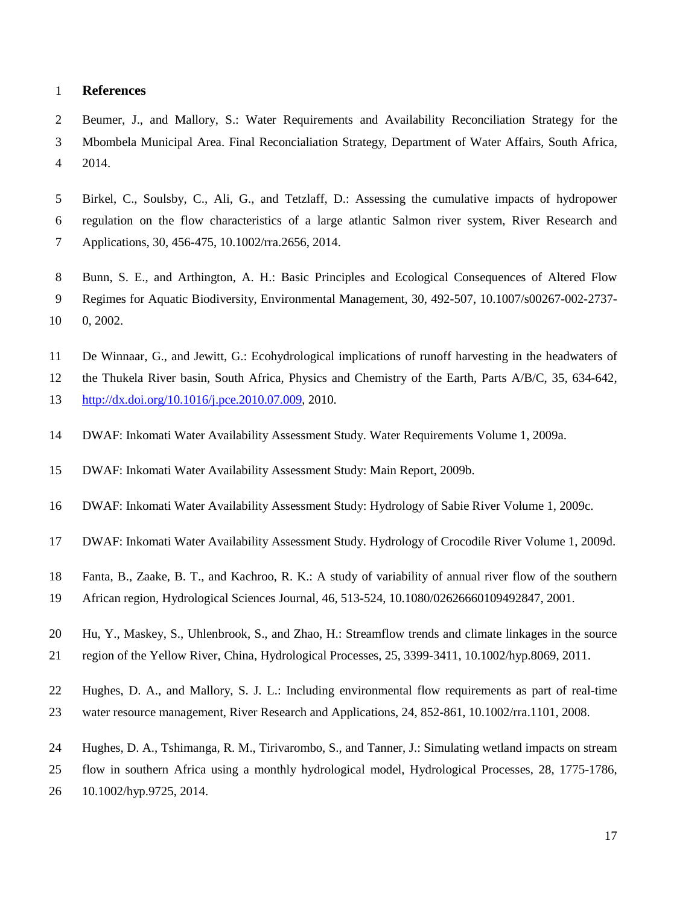### **References**

<span id="page-16-12"></span> Beumer, J., and Mallory, S.: Water Requirements and Availability Reconciliation Strategy for the Mbombela Municipal Area. Final Reconcialiation Strategy, Department of Water Affairs, South Africa, 2014.

- <span id="page-16-10"></span> Birkel, C., Soulsby, C., Ali, G., and Tetzlaff, D.: Assessing the cumulative impacts of hydropower regulation on the flow characteristics of a large atlantic Salmon river system, River Research and Applications, 30, 456-475, 10.1002/rra.2656, 2014.
- <span id="page-16-9"></span> Bunn, S. E., and Arthington, A. H.: Basic Principles and Ecological Consequences of Altered Flow Regimes for Aquatic Biodiversity, Environmental Management, 30, 492-507, 10.1007/s00267-002-2737- 0, 2002.
- <span id="page-16-5"></span>De Winnaar, G., and Jewitt, G.: Ecohydrological implications of runoff harvesting in the headwaters of

the Thukela River basin, South Africa, Physics and Chemistry of the Earth, Parts A/B/C, 35, 634-642,

- [http://dx.doi.org/10.1016/j.pce.2010.07.009,](http://dx.doi.org/10.1016/j.pce.2010.07.009) 2010.
- <span id="page-16-7"></span>DWAF: Inkomati Water Availability Assessment Study. Water Requirements Volume 1, 2009a.
- <span id="page-16-3"></span>DWAF: Inkomati Water Availability Assessment Study: Main Report, 2009b.
- <span id="page-16-11"></span>DWAF: Inkomati Water Availability Assessment Study: Hydrology of Sabie River Volume 1, 2009c.
- <span id="page-16-8"></span>DWAF: Inkomati Water Availability Assessment Study. Hydrology of Crocodile River Volume 1, 2009d.
- <span id="page-16-2"></span>Fanta, B., Zaake, B. T., and Kachroo, R. K.: A study of variability of annual river flow of the southern
- <span id="page-16-4"></span>African region, Hydrological Sciences Journal, 46, 513-524, 10.1080/02626660109492847, 2001.
- <span id="page-16-0"></span> Hu, Y., Maskey, S., Uhlenbrook, S., and Zhao, H.: Streamflow trends and climate linkages in the source region of the Yellow River, China, Hydrological Processes, 25, 3399-3411, 10.1002/hyp.8069, 2011.
- <span id="page-16-6"></span> Hughes, D. A., and Mallory, S. J. L.: Including environmental flow requirements as part of real-time water resource management, River Research and Applications, 24, 852-861, 10.1002/rra.1101, 2008.
- <span id="page-16-1"></span> Hughes, D. A., Tshimanga, R. M., Tirivarombo, S., and Tanner, J.: Simulating wetland impacts on stream flow in southern Africa using a monthly hydrological model, Hydrological Processes, 28, 1775-1786, 10.1002/hyp.9725, 2014.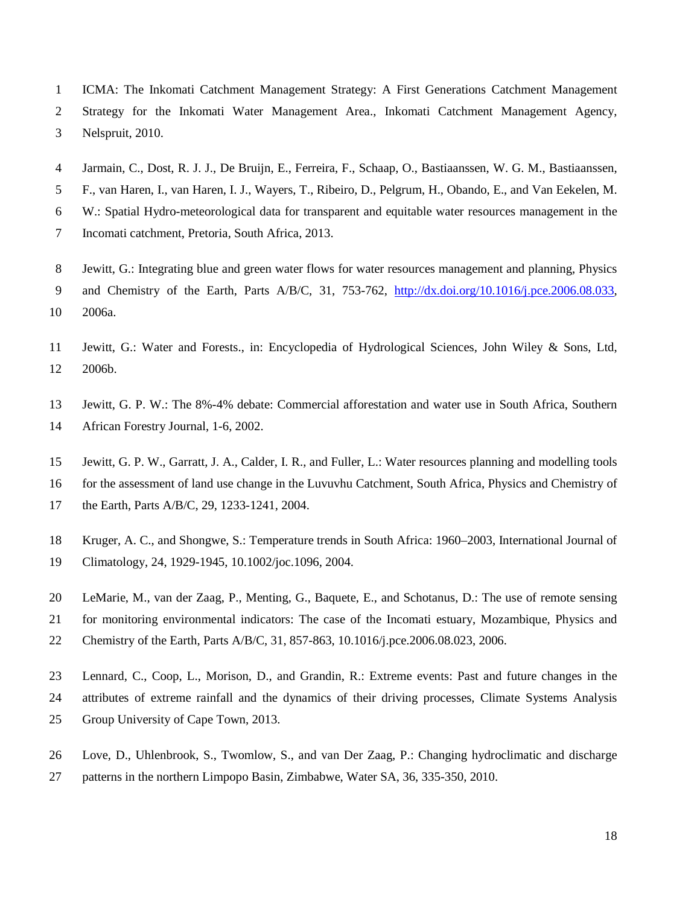- <span id="page-17-7"></span> ICMA: The Inkomati Catchment Management Strategy: A First Generations Catchment Management Strategy for the Inkomati Water Management Area., Inkomati Catchment Management Agency, Nelspruit, 2010.
- <span id="page-17-6"></span> Jarmain, C., Dost, R. J. J., De Bruijn, E., Ferreira, F., Schaap, O., Bastiaanssen, W. G. M., Bastiaanssen, F., van Haren, I., van Haren, I. J., Wayers, T., Ribeiro, D., Pelgrum, H., Obando, E., and Van Eekelen, M.

W.: Spatial Hydro-meteorological data for transparent and equitable water resources management in the

- Incomati catchment, Pretoria, South Africa, 2013.
- <span id="page-17-0"></span> Jewitt, G.: Integrating blue and green water flows for water resources management and planning, Physics and Chemistry of the Earth, Parts A/B/C, 31, 753-762, [http://dx.doi.org/10.1016/j.pce.2006.08.033,](http://dx.doi.org/10.1016/j.pce.2006.08.033)  2006a.
- <span id="page-17-9"></span> Jewitt, G.: Water and Forests., in: Encyclopedia of Hydrological Sciences, John Wiley & Sons, Ltd, 2006b.
- <span id="page-17-8"></span> Jewitt, G. P. W.: The 8%-4% debate: Commercial afforestation and water use in South Africa, Southern African Forestry Journal, 1-6, 2002.
- <span id="page-17-1"></span>Jewitt, G. P. W., Garratt, J. A., Calder, I. R., and Fuller, L.: Water resources planning and modelling tools
- 16 for the assessment of land use change in the Luvuvhu Catchment, South Africa, Physics and Chemistry of the Earth, Parts A/B/C, 29, 1233-1241, 2004.
- <span id="page-17-3"></span> Kruger, A. C., and Shongwe, S.: Temperature trends in South Africa: 1960–2003, International Journal of Climatology, 24, 1929-1945, 10.1002/joc.1096, 2004.
- <span id="page-17-5"></span> LeMarie, M., van der Zaag, P., Menting, G., Baquete, E., and Schotanus, D.: The use of remote sensing for monitoring environmental indicators: The case of the Incomati estuary, Mozambique, Physics and Chemistry of the Earth, Parts A/B/C, 31, 857-863, 10.1016/j.pce.2006.08.023, 2006.
- <span id="page-17-2"></span> Lennard, C., Coop, L., Morison, D., and Grandin, R.: Extreme events: Past and future changes in the attributes of extreme rainfall and the dynamics of their driving processes, Climate Systems Analysis Group University of Cape Town, 2013.
- <span id="page-17-4"></span> Love, D., Uhlenbrook, S., Twomlow, S., and van Der Zaag, P.: Changing hydroclimatic and discharge patterns in the northern Limpopo Basin, Zimbabwe, Water SA, 36, 335-350, 2010.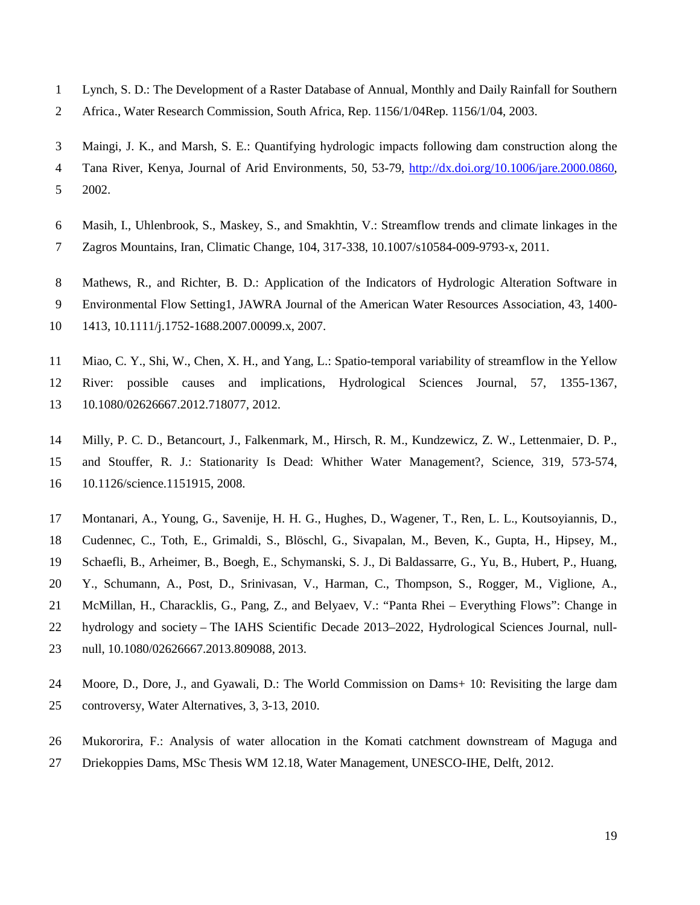- <span id="page-18-10"></span><span id="page-18-3"></span>Lynch, S. D.: The Development of a Raster Database of Annual, Monthly and Daily Rainfall for Southern
- Africa., Water Research Commission, South Africa, Rep. 1156/1/04Rep. 1156/1/04, 2003.
- <span id="page-18-5"></span> Maingi, J. K., and Marsh, S. E.: Quantifying hydrologic impacts following dam construction along the Tana River, Kenya, Journal of Arid Environments, 50, 53-79, [http://dx.doi.org/10.1006/jare.2000.0860,](http://dx.doi.org/10.1006/jare.2000.0860)  2002.
- <span id="page-18-7"></span><span id="page-18-6"></span> Masih, I., Uhlenbrook, S., Maskey, S., and Smakhtin, V.: Streamflow trends and climate linkages in the Zagros Mountains, Iran, Climatic Change, 104, 317-338, 10.1007/s10584-009-9793-x, 2011.
- <span id="page-18-4"></span> Mathews, R., and Richter, B. D.: Application of the Indicators of Hydrologic Alteration Software in Environmental Flow Setting1, JAWRA Journal of the American Water Resources Association, 43, 1400- 1413, 10.1111/j.1752-1688.2007.00099.x, 2007.
- <span id="page-18-1"></span> Miao, C. Y., Shi, W., Chen, X. H., and Yang, L.: Spatio-temporal variability of streamflow in the Yellow River: possible causes and implications, Hydrological Sciences Journal, 57, 1355-1367, 10.1080/02626667.2012.718077, 2012.
- <span id="page-18-0"></span> Milly, P. C. D., Betancourt, J., Falkenmark, M., Hirsch, R. M., Kundzewicz, Z. W., Lettenmaier, D. P., and Stouffer, R. J.: Stationarity Is Dead: Whither Water Management?, Science, 319, 573-574, 10.1126/science.1151915, 2008.
- <span id="page-18-2"></span> Montanari, A., Young, G., Savenije, H. H. G., Hughes, D., Wagener, T., Ren, L. L., Koutsoyiannis, D., Cudennec, C., Toth, E., Grimaldi, S., Blöschl, G., Sivapalan, M., Beven, K., Gupta, H., Hipsey, M., Schaefli, B., Arheimer, B., Boegh, E., Schymanski, S. J., Di Baldassarre, G., Yu, B., Hubert, P., Huang, Y., Schumann, A., Post, D., Srinivasan, V., Harman, C., Thompson, S., Rogger, M., Viglione, A., McMillan, H., Characklis, G., Pang, Z., and Belyaev, V.: "Panta Rhei – Everything Flows": Change in hydrology and society – The IAHS Scientific Decade 2013–2022, Hydrological Sciences Journal, null-null, 10.1080/02626667.2013.809088, 2013.
- <span id="page-18-9"></span> Moore, D., Dore, J., and Gyawali, D.: The World Commission on Dams+ 10: Revisiting the large dam controversy, Water Alternatives, 3, 3-13, 2010.
- <span id="page-18-8"></span> Mukororira, F.: Analysis of water allocation in the Komati catchment downstream of Maguga and Driekoppies Dams, MSc Thesis WM 12.18, Water Management, UNESCO-IHE, Delft, 2012.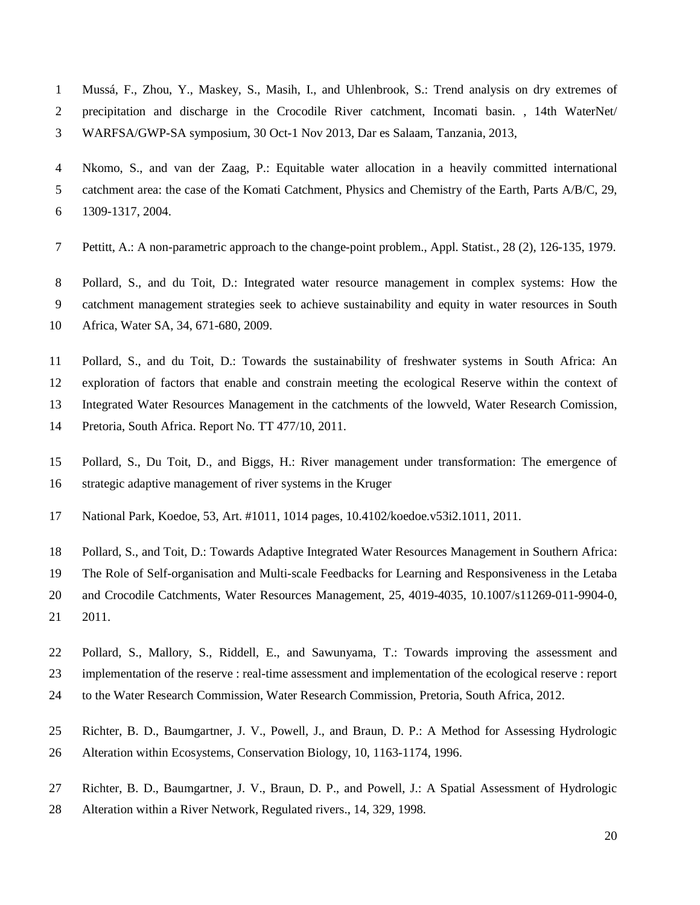- <span id="page-19-5"></span> Mussá, F., Zhou, Y., Maskey, S., Masih, I., and Uhlenbrook, S.: Trend analysis on dry extremes of precipitation and discharge in the Crocodile River catchment, Incomati basin. , 14th WaterNet/ WARFSA/GWP-SA symposium, 30 Oct-1 Nov 2013, Dar es Salaam, Tanzania, 2013,
- <span id="page-19-1"></span> Nkomo, S., and van der Zaag, P.: Equitable water allocation in a heavily committed international 5 catchment area: the case of the Komati Catchment, Physics and Chemistry of the Earth, Parts A/B/C, 29, 1309-1317, 2004.
- <span id="page-19-3"></span>Pettitt, A.: A non-parametric approach to the change-point problem., Appl. Statist., 28 (2), 126-135, 1979.

<span id="page-19-0"></span> Pollard, S., and du Toit, D.: Integrated water resource management in complex systems: How the catchment management strategies seek to achieve sustainability and equity in water resources in South Africa, Water SA, 34, 671-680, 2009.

<span id="page-19-8"></span> Pollard, S., and du Toit, D.: Towards the sustainability of freshwater systems in South Africa: An exploration of factors that enable and constrain meeting the ecological Reserve within the context of Integrated Water Resources Management in the catchments of the lowveld, Water Research Comission, Pretoria, South Africa. Report No. TT 477/10, 2011.

- <span id="page-19-2"></span> Pollard, S., Du Toit, D., and Biggs, H.: River management under transformation: The emergence of strategic adaptive management of river systems in the Kruger
- National Park, Koedoe, 53, Art. #1011, 1014 pages, 10.4102/koedoe.v53i2.1011, 2011.
- <span id="page-19-9"></span>Pollard, S., and Toit, D.: Towards Adaptive Integrated Water Resources Management in Southern Africa:
- The Role of Self-organisation and Multi-scale Feedbacks for Learning and Responsiveness in the Letaba
- and Crocodile Catchments, Water Resources Management, 25, 4019-4035, 10.1007/s11269-011-9904-0, 2011.
- <span id="page-19-6"></span> Pollard, S., Mallory, S., Riddell, E., and Sawunyama, T.: Towards improving the assessment and implementation of the reserve : real-time assessment and implementation of the ecological reserve : report to the Water Research Commission, Water Research Commission, Pretoria, South Africa, 2012.
- <span id="page-19-4"></span> Richter, B. D., Baumgartner, J. V., Powell, J., and Braun, D. P.: A Method for Assessing Hydrologic Alteration within Ecosystems, Conservation Biology, 10, 1163-1174, 1996.
- <span id="page-19-7"></span>Richter, B. D., Baumgartner, J. V., Braun, D. P., and Powell, J.: A Spatial Assessment of Hydrologic
- Alteration within a River Network, Regulated rivers., 14, 329, 1998.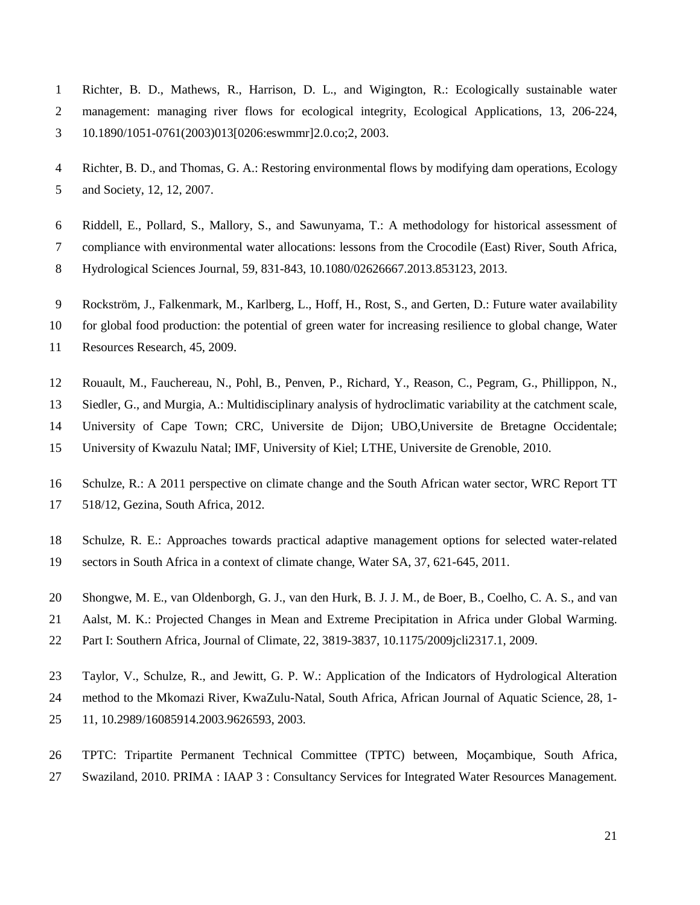- <span id="page-20-8"></span> Richter, B. D., Mathews, R., Harrison, D. L., and Wigington, R.: Ecologically sustainable water management: managing river flows for ecological integrity, Ecological Applications, 13, 206-224, 10.1890/1051-0761(2003)013[0206:eswmmr]2.0.co;2, 2003.
- <span id="page-20-9"></span> Richter, B. D., and Thomas, G. A.: Restoring environmental flows by modifying dam operations, Ecology and Society, 12, 12, 2007.
- <span id="page-20-7"></span> Riddell, E., Pollard, S., Mallory, S., and Sawunyama, T.: A methodology for historical assessment of compliance with environmental water allocations: lessons from the Crocodile (East) River, South Africa, Hydrological Sciences Journal, 59, 831-843, 10.1080/02626667.2013.853123, 2013.
- <span id="page-20-3"></span> Rockström, J., Falkenmark, M., Karlberg, L., Hoff, H., Rost, S., and Gerten, D.: Future water availability for global food production: the potential of green water for increasing resilience to global change, Water Resources Research, 45, 2009.
- 
- <span id="page-20-1"></span>Rouault, M., Fauchereau, N., Pohl, B., Penven, P., Richard, Y., Reason, C., Pegram, G., Phillippon, N.,
- Siedler, G., and Murgia, A.: Multidisciplinary analysis of hydroclimatic variability at the catchment scale,
- University of Cape Town; CRC, Universite de Dijon; UBO,Universite de Bretagne Occidentale;
- University of Kwazulu Natal; IMF, University of Kiel; LTHE, Universite de Grenoble, 2010.
- <span id="page-20-4"></span> Schulze, R.: A 2011 perspective on climate change and the South African water sector, WRC Report TT 518/12, Gezina, South Africa, 2012.
- <span id="page-20-2"></span> Schulze, R. E.: Approaches towards practical adaptive management options for selected water-related sectors in South Africa in a context of climate change, Water SA, 37, 621-645, 2011.
- <span id="page-20-0"></span> Shongwe, M. E., van Oldenborgh, G. J., van den Hurk, B. J. J. M., de Boer, B., Coelho, C. A. S., and van Aalst, M. K.: Projected Changes in Mean and Extreme Precipitation in Africa under Global Warming. Part I: Southern Africa, Journal of Climate, 22, 3819-3837, 10.1175/2009jcli2317.1, 2009.
- <span id="page-20-10"></span> Taylor, V., Schulze, R., and Jewitt, G. P. W.: Application of the Indicators of Hydrological Alteration method to the Mkomazi River, KwaZulu-Natal, South Africa, African Journal of Aquatic Science, 28, 1- 11, 10.2989/16085914.2003.9626593, 2003.
- <span id="page-20-6"></span><span id="page-20-5"></span> TPTC: Tripartite Permanent Technical Committee (TPTC) between, Moçambique, South Africa, Swaziland, 2010. PRIMA : IAAP 3 : Consultancy Services for Integrated Water Resources Management.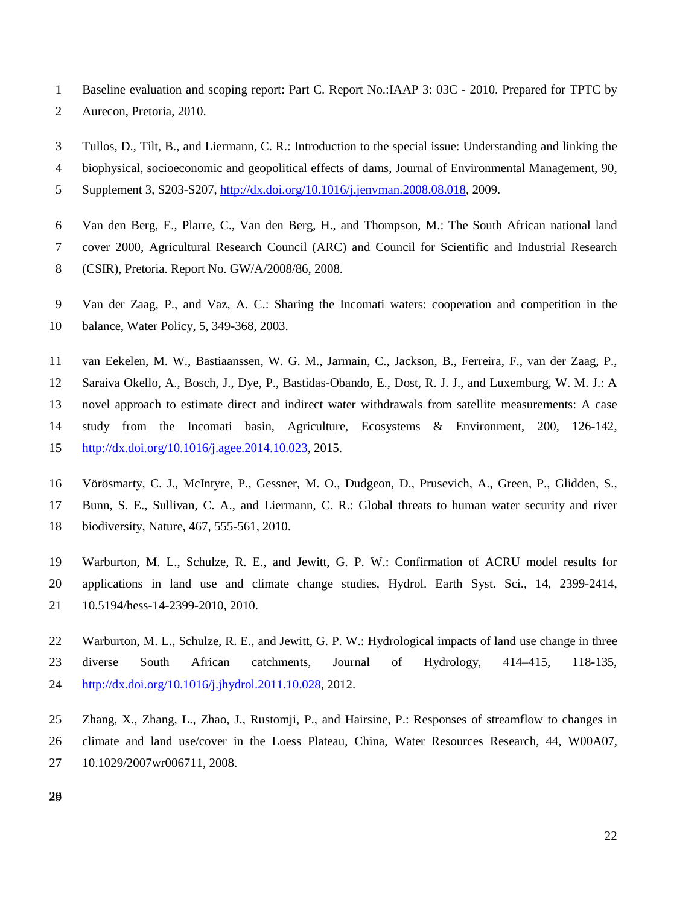- Baseline evaluation and scoping report: Part C. Report No.:IAAP 3: 03C 2010. Prepared for TPTC by Aurecon, Pretoria, 2010.
- <span id="page-21-7"></span> Tullos, D., Tilt, B., and Liermann, C. R.: Introduction to the special issue: Understanding and linking the biophysical, socioeconomic and geopolitical effects of dams, Journal of Environmental Management, 90,
- Supplement 3, S203-S207[, http://dx.doi.org/10.1016/j.jenvman.2008.08.018,](http://dx.doi.org/10.1016/j.jenvman.2008.08.018) 2009.
- <span id="page-21-5"></span> Van den Berg, E., Plarre, C., Van den Berg, H., and Thompson, M.: The South African national land cover 2000, Agricultural Research Council (ARC) and Council for Scientific and Industrial Research (CSIR), Pretoria. Report No. GW/A/2008/86, 2008.
- <span id="page-21-3"></span> Van der Zaag, P., and Vaz, A. C.: Sharing the Incomati waters: cooperation and competition in the balance, Water Policy, 5, 349-368, 2003.
- <span id="page-21-6"></span> van Eekelen, M. W., Bastiaanssen, W. G. M., Jarmain, C., Jackson, B., Ferreira, F., van der Zaag, P., Saraiva Okello, A., Bosch, J., Dye, P., Bastidas-Obando, E., Dost, R. J. J., and Luxemburg, W. M. J.: A novel approach to estimate direct and indirect water withdrawals from satellite measurements: A case study from the Incomati basin, Agriculture, Ecosystems & Environment, 200, 126-142, [http://dx.doi.org/10.1016/j.agee.2014.10.023,](http://dx.doi.org/10.1016/j.agee.2014.10.023) 2015.
- <span id="page-21-0"></span> Vörösmarty, C. J., McIntyre, P., Gessner, M. O., Dudgeon, D., Prusevich, A., Green, P., Glidden, S., Bunn, S. E., Sullivan, C. A., and Liermann, C. R.: Global threats to human water security and river biodiversity, Nature, 467, 555-561, 2010.
- <span id="page-21-1"></span> Warburton, M. L., Schulze, R. E., and Jewitt, G. P. W.: Confirmation of ACRU model results for applications in land use and climate change studies, Hydrol. Earth Syst. Sci., 14, 2399-2414, 10.5194/hess-14-2399-2010, 2010.
- <span id="page-21-2"></span> Warburton, M. L., Schulze, R. E., and Jewitt, G. P. W.: Hydrological impacts of land use change in three diverse South African catchments, Journal of Hydrology, 414–415, 118-135, [http://dx.doi.org/10.1016/j.jhydrol.2011.10.028,](http://dx.doi.org/10.1016/j.jhydrol.2011.10.028) 2012.

<span id="page-21-4"></span> Zhang, X., Zhang, L., Zhao, J., Rustomji, P., and Hairsine, P.: Responses of streamflow to changes in climate and land use/cover in the Loess Plateau, China, Water Resources Research, 44, W00A07, 10.1029/2007wr006711, 2008.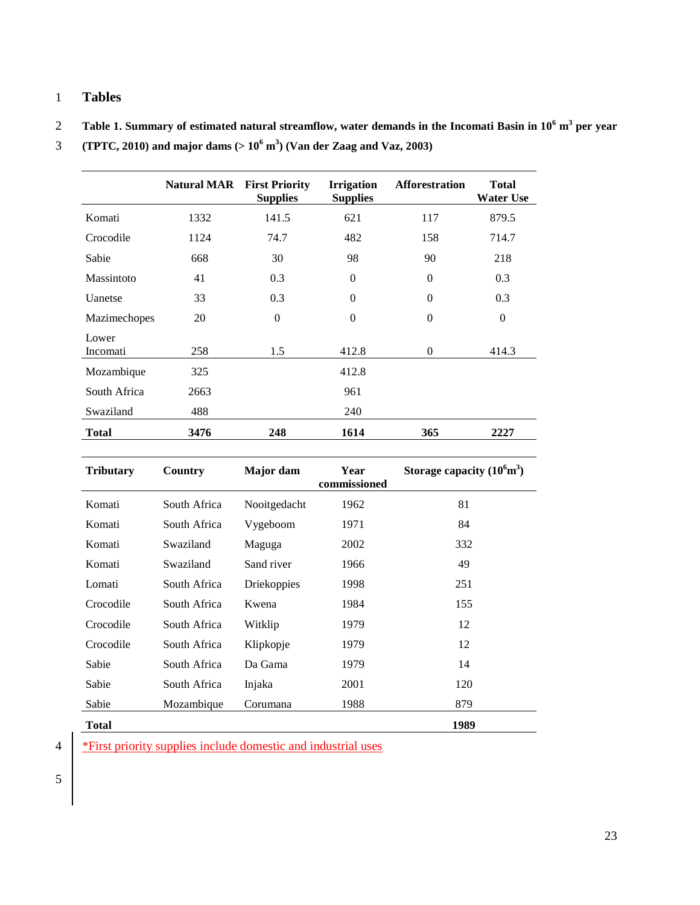# 1 **Tables**

- <span id="page-22-0"></span>**Table 1. Summary of estimated natural streamflow, water demands in the Incomati Basin in 10<sup>6</sup> m3** 2 **per year**
- **[\(TPTC, 2010\)](#page-20-5)** and major dams  $(> 10^6 \text{ m}^3)$  (Van der Zaag [and Vaz, 2003\)](#page-21-3)

|                   | <b>Natural MAR</b> First Priority | <b>Supplies</b> | <b>Irrigation</b><br><b>Supplies</b> | <b>Afforestration</b> | <b>Total</b><br><b>Water Use</b> |
|-------------------|-----------------------------------|-----------------|--------------------------------------|-----------------------|----------------------------------|
| Komati            | 1332                              | 141.5           | 621                                  | 117                   | 879.5                            |
| Crocodile         | 1124                              | 74.7            | 482                                  | 158                   | 714.7                            |
| Sabie             | 668                               | 30              | 98                                   | 90                    | 218                              |
| Massintoto        | 41                                | 0.3             | $\overline{0}$                       | $\overline{0}$        | 0.3                              |
| Uanetse           | 33                                | 0.3             | $\theta$                             | $\theta$              | 0.3                              |
| Mazimechopes      | 20                                | $\overline{0}$  | $\overline{0}$                       | $\overline{0}$        | $\theta$                         |
| Lower<br>Incomati | 258                               | 1.5             | 412.8                                | $\overline{0}$        | 414.3                            |
| Mozambique        | 325                               |                 | 412.8                                |                       |                                  |
| South Africa      | 2663                              |                 | 961                                  |                       |                                  |
| Swaziland         | 488                               |                 | 240                                  |                       |                                  |
| <b>Total</b>      | 3476                              | 248             | 1614                                 | 365                   | 2227                             |

| <b>Tributary</b> | <b>Country</b> | <b>Major</b> dam   | Year<br>commissioned | Storage capacity $(10^6 \text{m}^3)$ |
|------------------|----------------|--------------------|----------------------|--------------------------------------|
| Komati           | South Africa   | Nooitgedacht       | 1962                 | 81                                   |
| Komati           | South Africa   | Vygeboom           | 1971                 | 84                                   |
| Komati           | Swaziland      | Maguga             | 2002                 | 332                                  |
| Komati           | Swaziland      | Sand river         | 1966                 | 49                                   |
| Lomati           | South Africa   | <b>Driekoppies</b> | 1998                 | 251                                  |
| Crocodile        | South Africa   | Kwena              | 1984                 | 155                                  |
| Crocodile        | South Africa   | Witklip            | 1979                 | 12                                   |
| Crocodile        | South Africa   | Klipkopje          | 1979                 | 12                                   |
| Sabie            | South Africa   | Da Gama            | 1979                 | 14                                   |
| Sabie            | South Africa   | Injaka             | 2001                 | 120                                  |
| Sabie            | Mozambique     | Corumana           | 1988                 | 879                                  |
| <b>Total</b>     |                |                    |                      | 1989                                 |

4 \*First priority supplies include domestic and industrial uses

23

5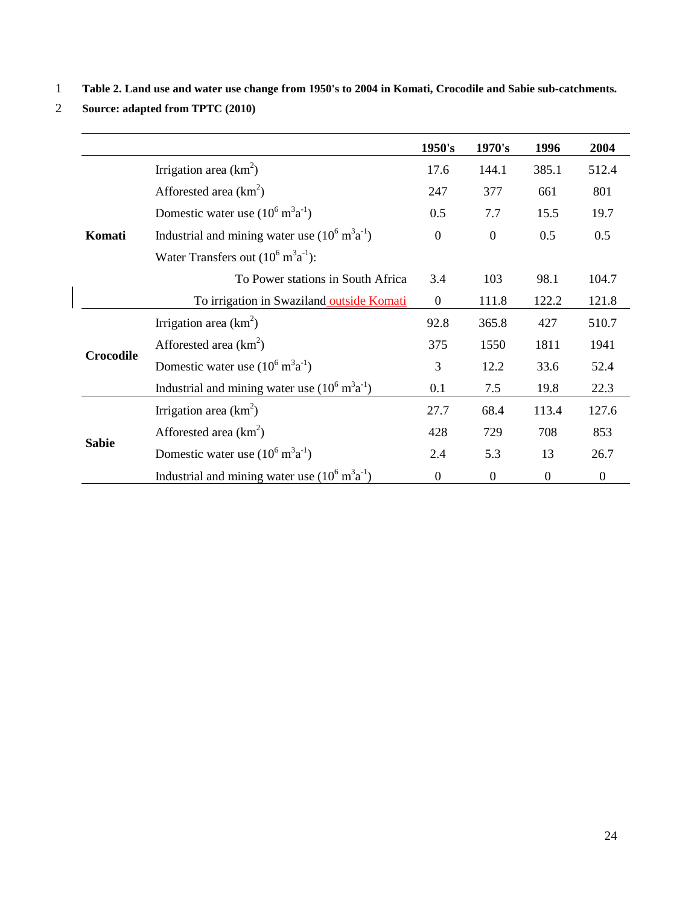<span id="page-23-0"></span>1 **Table 2. Land use and water use change from 1950's to 2004 in Komati, Crocodile and Sabie sub-catchments.** 

2 **Source: adapted from [TPTC \(2010\)](#page-20-5)**

|                  |                                                                    | 1950's           | 1970's           | 1996             | 2004         |
|------------------|--------------------------------------------------------------------|------------------|------------------|------------------|--------------|
|                  | Irrigation area $(km^2)$                                           | 17.6             | 144.1            | 385.1            | 512.4        |
|                  | Afforested area $(km^2)$                                           | 247              | 377              | 661              | 801          |
|                  | Domestic water use $(10^6 \text{ m}^3 \text{a}^{-1})$              | 0.5              | 7.7              | 15.5             | 19.7         |
| Komati           | Industrial and mining water use $(10^6 \text{ m}^3 \text{a}^{-1})$ | $\boldsymbol{0}$ | $\mathbf{0}$     | 0.5              | 0.5          |
|                  | Water Transfers out $(10^6 \text{ m}^3 \text{a}^{-1})$ :           |                  |                  |                  |              |
|                  | To Power stations in South Africa                                  | 3.4              | 103              | 98.1             | 104.7        |
|                  | To irrigation in Swaziland outside Komati                          | $\overline{0}$   | 111.8            | 122.2            | 121.8        |
|                  | Irrigation area $(km^2)$                                           | 92.8             | 365.8            | 427              | 510.7        |
|                  | Afforested area $(km^2)$                                           | 375              | 1550             | 1811             | 1941         |
| <b>Crocodile</b> | Domestic water use $(10^6 \text{ m}^3 \text{a}^{-1})$              | 3                | 12.2             | 33.6             | 52.4         |
|                  | Industrial and mining water use $(10^6 \text{ m}^3 \text{a}^{-1})$ | 0.1              | 7.5              | 19.8             | 22.3         |
|                  | Irrigation area $(km^2)$                                           | 27.7             | 68.4             | 113.4            | 127.6        |
|                  | Afforested area $(km^2)$                                           | 428              | 729              | 708              | 853          |
| <b>Sabie</b>     | Domestic water use $(10^6 \text{ m}^3 \text{a}^{-1})$              | 2.4              | 5.3              | 13               | 26.7         |
|                  | Industrial and mining water use $(10^6 \text{ m}^3 \text{a}^{-1})$ | $\Omega$         | $\boldsymbol{0}$ | $\boldsymbol{0}$ | $\mathbf{0}$ |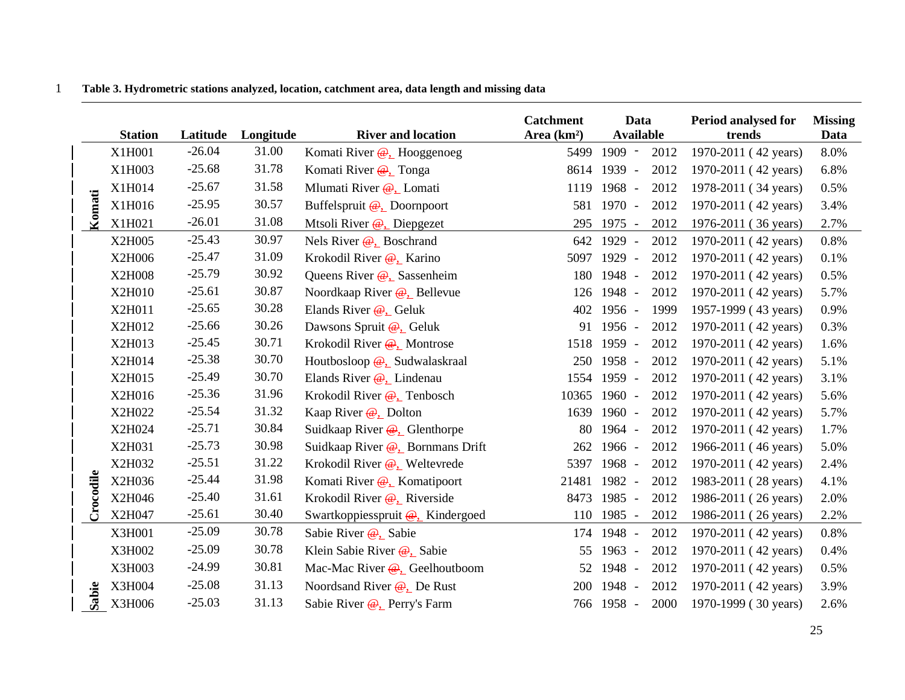<span id="page-24-0"></span>

|           | <b>Station</b> | Latitude | Longitude | <b>River and location</b>                     | <b>Catchment</b><br>Area (km <sup>2</sup> ) | Data<br><b>Available</b> | Period analysed for<br>trends | <b>Missing</b><br>Data |
|-----------|----------------|----------|-----------|-----------------------------------------------|---------------------------------------------|--------------------------|-------------------------------|------------------------|
|           | X1H001         | $-26.04$ | 31.00     | Komati River <sup>@</sup> Hooggenoeg          | 5499                                        | 1909 -<br>2012           | 1970-2011 (42 years)          | 8.0%                   |
|           | X1H003         | $-25.68$ | 31.78     | Komati River <sup>@</sup> , Tonga             |                                             | 8614 1939 -<br>2012      | 1970-2011 (42 years)          | 6.8%                   |
|           | X1H014         | $-25.67$ | 31.58     | Mlumati River <sup>@</sup> , Lomati           | 1119                                        | 1968 -<br>2012           | 1978-2011 (34 years)          | 0.5%                   |
|           | X1H016         | $-25.95$ | 30.57     | Buffelspruit <sup>@</sup> _Doornpoort         | 581                                         | 1970 -<br>2012           | 1970-2011 (42 years)          | 3.4%                   |
| Komati    | X1H021         | $-26.01$ | 31.08     | Mtsoli River $\mathcal{Q}_1$ Diepgezet        | 295                                         | 1975 -<br>2012           | 1976-2011 (36 years)          | 2.7%                   |
|           | X2H005         | $-25.43$ | 30.97     | Nels River <sup>@</sup> , Boschrand           | 642                                         | 1929 -<br>2012           | 1970-2011 (42 years)          | 0.8%                   |
|           | X2H006         | $-25.47$ | 31.09     | Krokodil River <sup>@</sup> , Karino          | 5097                                        | 1929 -<br>2012           | 1970-2011 (42 years)          | 0.1%                   |
|           | <b>X2H008</b>  | $-25.79$ | 30.92     | Queens River $\bigcirc$ , Sassenheim          | 180                                         | 1948 -<br>2012           | 1970-2011 (42 years)          | 0.5%                   |
|           | X2H010         | $-25.61$ | 30.87     | Noordkaap River <sup>@</sup> , Bellevue       | 126                                         | 1948 -<br>2012           | 1970-2011 (42 years)          | 5.7%                   |
|           | X2H011         | $-25.65$ | 30.28     | Elands River $\bigoplus$ , Geluk              | 402                                         | 1956 -<br>1999           | 1957-1999 (43 years)          | 0.9%                   |
|           | X2H012         | $-25.66$ | 30.26     | Dawsons Spruit <sup>@</sup> _ Geluk           | 91                                          | 1956 -<br>2012           | 1970-2011 (42 years)          | 0.3%                   |
|           | X2H013         | $-25.45$ | 30.71     | Krokodil River <sup>@</sup> , Montrose        | 1518                                        | 1959 -<br>2012           | 1970-2011 (42 years)          | 1.6%                   |
|           | X2H014         | $-25.38$ | 30.70     | Houtbosloop <sup>@</sup> _ Sudwalaskraal      | 250                                         | 1958 -<br>2012           | 1970-2011 (42 years)          | 5.1%                   |
|           | X2H015         | $-25.49$ | 30.70     | Elands River $\oplus$ , Lindenau              | 1554                                        | 1959 -<br>2012           | 1970-2011 (42 years)          | 3.1%                   |
|           | X2H016         | $-25.36$ | 31.96     | Krokodil River <sup>@</sup> _Tenbosch         | 10365                                       | 1960 -<br>2012           | 1970-2011 (42 years)          | 5.6%                   |
|           | X2H022         | $-25.54$ | 31.32     | Kaap River $\bigoplus$ , Dolton               | 1639                                        | 1960 -<br>2012           | 1970-2011 (42 years)          | 5.7%                   |
|           | X2H024         | $-25.71$ | 30.84     | Suidkaap River $\bigoplus$ , Glenthorpe       | 80                                          | 1964 -<br>2012           | 1970-2011 (42 years)          | 1.7%                   |
|           | X2H031         | $-25.73$ | 30.98     | Suidkaap River $\bigoplus$ , Bornmans Drift   | 262                                         | 2012<br>1966 -           | 1966-2011 (46 years)          | 5.0%                   |
|           | X2H032         | $-25.51$ | 31.22     | Krokodil River <sup>4</sup> , Weltevrede      | 5397                                        | 1968 -<br>2012           | 1970-2011 (42 years)          | 2.4%                   |
| Crocodile | X2H036         | $-25.44$ | 31.98     | Komati River <sup>@</sup> , Komatipoort       | 21481                                       | 1982 -<br>2012           | 1983-2011 (28 years)          | 4.1%                   |
|           | X2H046         | $-25.40$ | 31.61     | Krokodil River <sup>@</sup> , Riverside       | 8473                                        | 1985 -<br>2012           | 1986-2011 (26 years)          | 2.0%                   |
|           | X2H047         | $-25.61$ | 30.40     | Swartkoppiesspruit <sup>@</sup> _Kindergoed   | 110                                         | 1985 -<br>2012           | 1986-2011 (26 years)          | 2.2%                   |
|           | X3H001         | $-25.09$ | 30.78     | Sabie River <sup>@</sup> , Sabie              | 174                                         | 1948 -<br>2012           | 1970-2011 (42 years)          | 0.8%                   |
|           | X3H002         | $-25.09$ | 30.78     | Klein Sabie River <sup>@</sup> , Sabie        | 55                                          | 1963 -<br>2012           | 1970-2011 (42 years)          | 0.4%                   |
|           | X3H003         | $-24.99$ | 30.81     | Mac-Mac River $\bigoplus$ , Geelhoutboom      | 52                                          | 1948 -<br>2012           | 1970-2011 (42 years)          | 0.5%                   |
|           | X3H004         | $-25.08$ | 31.13     | Noordsand River $\mathbf{\Theta}_{r}$ De Rust | 200                                         | 1948 -<br>2012           | 1970-2011 (42 years)          | 3.9%                   |
| Sabie     | X3H006         | $-25.03$ | 31.13     | Sabie River <sup>@</sup> , Perry's Farm       |                                             | 766 1958 -<br>2000       | 1970-1999 (30 years)          | 2.6%                   |

## 1 **Table 3. Hydrometric stations analyzed, location, catchment area, data length and missing data**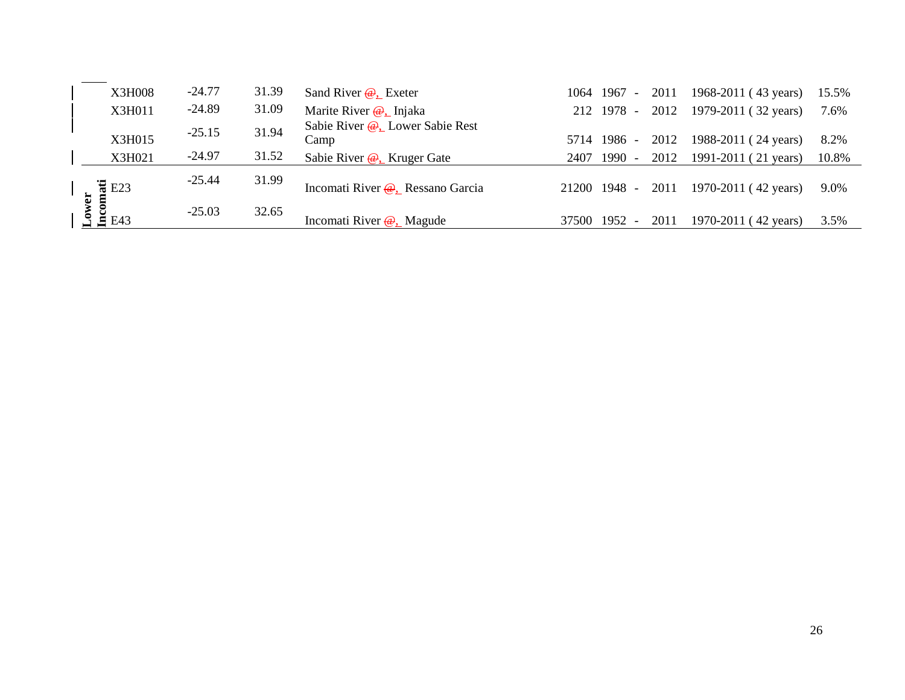| X3H008          | $-24.77$ | 31.39 | Sand River $\bigoplus$ , Exeter                     |      | 1064 1967 -  | 2011 | 1968-2011 (43 years)      | 15.5% |
|-----------------|----------|-------|-----------------------------------------------------|------|--------------|------|---------------------------|-------|
| X3H011          | $-24.89$ | 31.09 | Marite River <sup>@</sup> Injaka                    |      | 212 1978 -   |      | 2012 1979-2011 (32 years) | 7.6%  |
| X3H015          | $-25.15$ | 31.94 | Sabie River <sup>@</sup> , Lower Sabie Rest<br>Camp |      | 5714 1986 -  | 2012 | 1988-2011 (24 years)      | 8.2%  |
| X3H021          | $-24.97$ | 31.52 | Sabie River $\oplus$ , Kruger Gate                  | 2407 | $1990 -$     | 2012 | 1991-2011 (21 years)      | 10.8% |
|                 | $-25.44$ | 31.99 | Incomati River <sup>4</sup> , Ressano Garcia        |      | 21200 1948 - | 2011 | 1970-2011 (42 years)      | 9.0%  |
| $\check{=}$ E43 | $-25.03$ | 32.65 | Incomati River $\oplus$ , Magude                    |      | 37500 1952 - | 2011 | 1970-2011 (42 years)      | 3.5%  |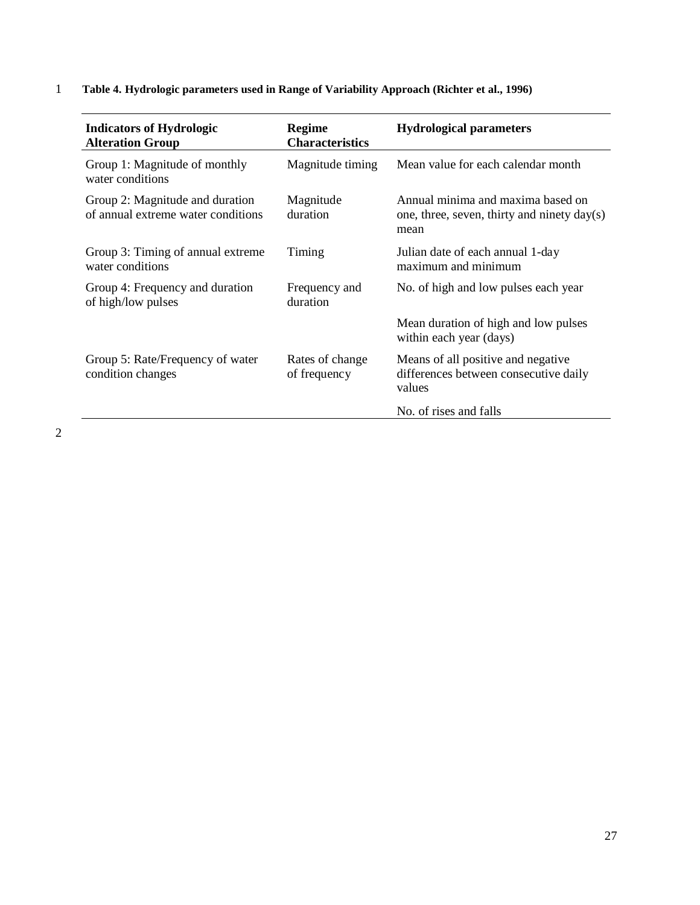<span id="page-26-0"></span>1 **Table 4. Hydrologic parameters used in Range of Variability Approach [\(Richter et al., 1996\)](#page-19-4)**

| <b>Indicators of Hydrologic</b><br><b>Alteration Group</b>            | <b>Regime</b><br><b>Characteristics</b> | <b>Hydrological parameters</b>                                                           |
|-----------------------------------------------------------------------|-----------------------------------------|------------------------------------------------------------------------------------------|
| Group 1: Magnitude of monthly<br>water conditions                     | Magnitude timing                        | Mean value for each calendar month                                                       |
| Group 2: Magnitude and duration<br>of annual extreme water conditions | Magnitude<br>duration                   | Annual minima and maxima based on<br>one, three, seven, thirty and ninety day(s)<br>mean |
| Group 3: Timing of annual extreme<br>water conditions                 | Timing                                  | Julian date of each annual 1-day<br>maximum and minimum                                  |
| Group 4: Frequency and duration<br>of high/low pulses                 | Frequency and<br>duration               | No. of high and low pulses each year                                                     |
|                                                                       |                                         | Mean duration of high and low pulses<br>within each year (days)                          |
| Group 5: Rate/Frequency of water<br>condition changes                 | Rates of change<br>of frequency         | Means of all positive and negative<br>differences between consecutive daily<br>values    |
|                                                                       |                                         | No. of rises and falls                                                                   |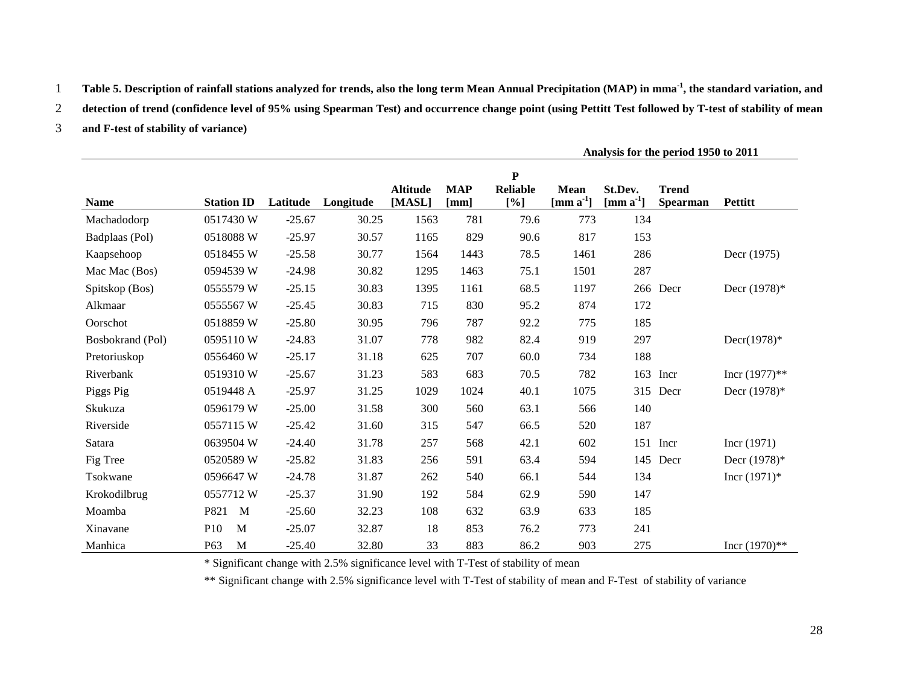**Table 5. Description of rainfall stations analyzed for trends, also the long term Mean Annual Precipitation (MAP) in mma-1** 1 **, the standard variation, and** 

3 **and F-test of stability of variance)**

<span id="page-27-0"></span>

|                  |                      |          |           |                           |                    | ${\bf P}$              |                               |                           |                          |                  |
|------------------|----------------------|----------|-----------|---------------------------|--------------------|------------------------|-------------------------------|---------------------------|--------------------------|------------------|
| <b>Name</b>      | <b>Station ID</b>    | Latitude | Longitude | <b>Altitude</b><br>[MASL] | <b>MAP</b><br>[mm] | <b>Reliable</b><br>[%] | <b>Mean</b><br>[mm $a^{-1}$ ] | St.Dev.<br>[mm $a^{-1}$ ] | <b>Trend</b><br>Spearman | <b>Pettitt</b>   |
| Machadodorp      | 0517430W             | $-25.67$ | 30.25     | 1563                      | 781                | 79.6                   | 773                           | 134                       |                          |                  |
| Badplaas (Pol)   | 0518088 W            | $-25.97$ | 30.57     | 1165                      | 829                | 90.6                   | 817                           | 153                       |                          |                  |
| Kaapsehoop       | 0518455W             | $-25.58$ | 30.77     | 1564                      | 1443               | 78.5                   | 1461                          | 286                       |                          | Decr (1975)      |
| Mac Mac (Bos)    | 0594539 W            | $-24.98$ | 30.82     | 1295                      | 1463               | 75.1                   | 1501                          | 287                       |                          |                  |
| Spitskop (Bos)   | 0555579 W            | $-25.15$ | 30.83     | 1395                      | 1161               | 68.5                   | 1197                          |                           | 266 Decr                 | Decr (1978)*     |
| Alkmaar          | 0555567W             | $-25.45$ | 30.83     | 715                       | 830                | 95.2                   | 874                           | 172                       |                          |                  |
| Oorschot         | 0518859W             | $-25.80$ | 30.95     | 796                       | 787                | 92.2                   | 775                           | 185                       |                          |                  |
| Bosbokrand (Pol) | 0595110W             | $-24.83$ | 31.07     | 778                       | 982                | 82.4                   | 919                           | 297                       |                          | $Decr(1978)^*$   |
| Pretoriuskop     | 0556460W             | $-25.17$ | 31.18     | 625                       | 707                | 60.0                   | 734                           | 188                       |                          |                  |
| Riverbank        | 0519310W             | $-25.67$ | 31.23     | 583                       | 683                | 70.5                   | 782                           | 163                       | Incr                     | Incr $(1977)$ ** |
| Piggs Pig        | 0519448 A            | $-25.97$ | 31.25     | 1029                      | 1024               | 40.1                   | 1075                          | 315                       | Decr                     | Decr (1978)*     |
| Skukuza          | 0596179W             | $-25.00$ | 31.58     | 300                       | 560                | 63.1                   | 566                           | 140                       |                          |                  |
| Riverside        | 0557115 W            | $-25.42$ | 31.60     | 315                       | 547                | 66.5                   | 520                           | 187                       |                          |                  |
| Satara           | 0639504 W            | $-24.40$ | 31.78     | 257                       | 568                | 42.1                   | 602                           | 151                       | Incr                     | Incr(1971)       |
| Fig Tree         | 0520589 W            | $-25.82$ | 31.83     | 256                       | 591                | 63.4                   | 594                           | 145                       | Decr                     | Decr (1978)*     |
| Tsokwane         | 0596647W             | $-24.78$ | 31.87     | 262                       | 540                | 66.1                   | 544                           | 134                       |                          | Incr $(1971)^*$  |
| Krokodilbrug     | 0557712W             | $-25.37$ | 31.90     | 192                       | 584                | 62.9                   | 590                           | 147                       |                          |                  |
| Moamba           | P821<br>M            | $-25.60$ | 32.23     | 108                       | 632                | 63.9                   | 633                           | 185                       |                          |                  |
| Xinavane         | M<br>P <sub>10</sub> | $-25.07$ | 32.87     | 18                        | 853                | 76.2                   | 773                           | 241                       |                          |                  |
| Manhica          | P63<br>M             | $-25.40$ | 32.80     | 33                        | 883                | 86.2                   | 903                           | 275                       |                          | Incr $(1970)$ ** |

**Analysis for the period 1950 to 2011**

\* Significant change with 2.5% significance level with T-Test of stability of mean

\*\* Significant change with 2.5% significance level with T-Test of stability of mean and F-Test of stability of variance

<sup>2</sup> **detection of trend (confidence level of 95% using Spearman Test) and occurrence change point (using Pettitt Test followed by T-test of stability of mean**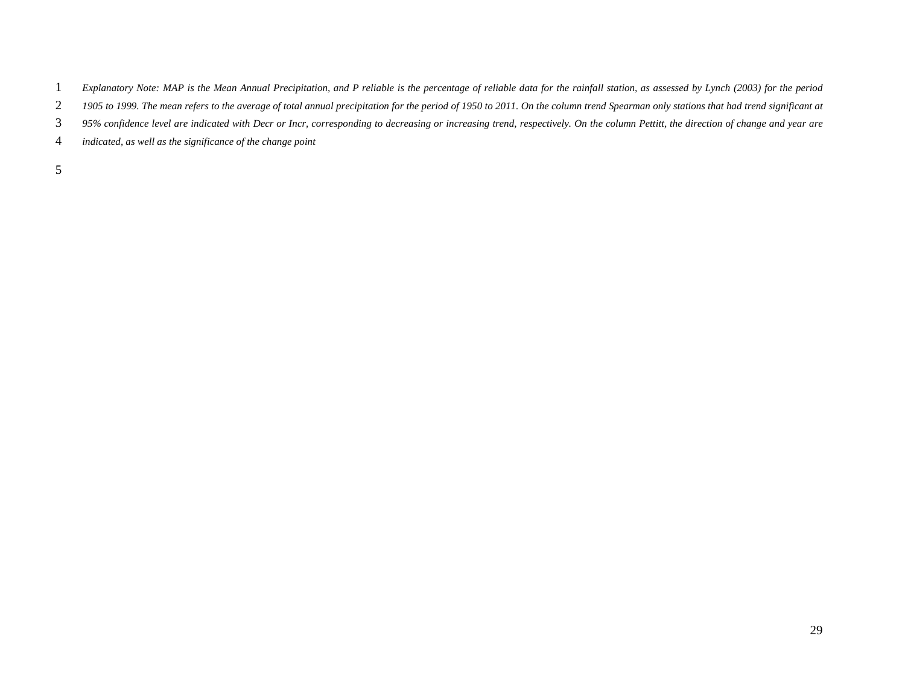- *Explanatory Note: MAP is the Mean Annual Precipitation, and P reliable is the percentage of reliable data for the rainfall station, as assessed by [Lynch \(2003\)](#page-18-10) for the period*
- *1905 to 1999. The mean refers to the average of total annual precipitation for the period of 1950 to 2011. On the column trend Spearman only stations that had trend significant at*
- *95% confidence level are indicated with Decr or Incr, corresponding to decreasing or increasing trend, respectively. On the column Pettitt, the direction of change and year are*
- *indicated, as well as the significance of the change point*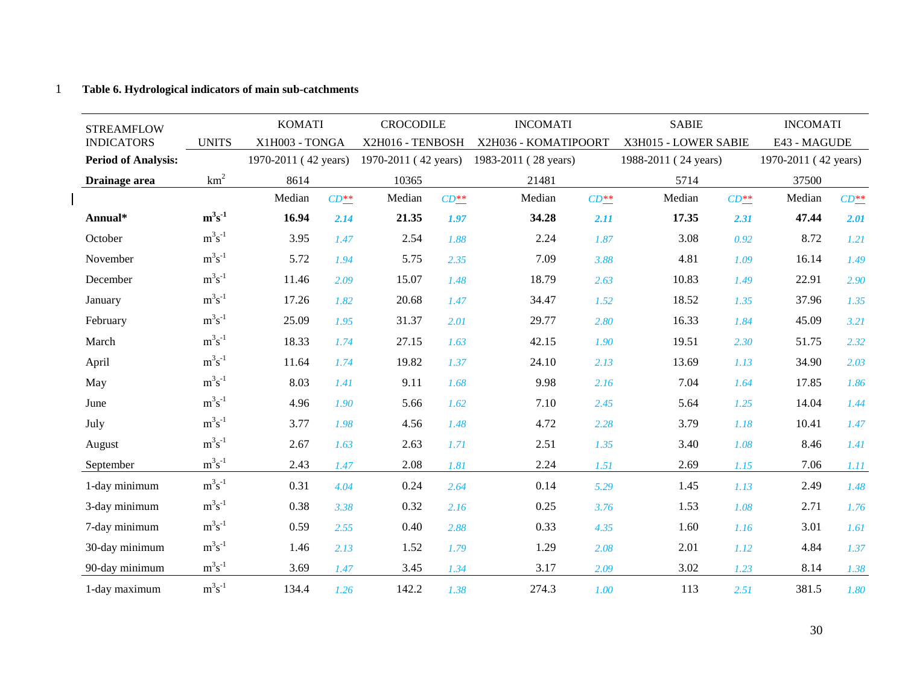# 1 **Table 6. Hydrological indicators of main sub-catchments**

<span id="page-29-0"></span>

| <b>STREAMFLOW</b>          |                                      | <b>KOMATI</b>        |                 | <b>CROCODILE</b>     |        | <b>INCOMATI</b>      |        | <b>SABIE</b>         |                      | <b>INCOMATI</b> |                 |
|----------------------------|--------------------------------------|----------------------|-----------------|----------------------|--------|----------------------|--------|----------------------|----------------------|-----------------|-----------------|
| <b>INDICATORS</b>          | <b>UNITS</b>                         | X1H003 - TONGA       |                 | X2H016 - TENBOSH     |        | X2H036 - KOMATIPOORT |        | X3H015 - LOWER SABIE |                      | E43 - MAGUDE    |                 |
| <b>Period of Analysis:</b> |                                      | 1970-2011 (42 years) |                 | 1970-2011 (42 years) |        | 1983-2011 (28 years) |        | 1988-2011 (24 years) | 1970-2011 (42 years) |                 |                 |
| Drainage area              | $km^2$                               | 8614                 |                 | 10365                |        | 21481                |        | 5714                 |                      | 37500           |                 |
|                            |                                      | Median               | $CD^{\ast\ast}$ | Median               | $CD^*$ | Median               | $CD^*$ | Median               | $CD^*$               | Median          | $CD^{\ast\ast}$ |
| Annual*                    | $m^3s^{\text{-}1}$                   | 16.94                | 2.14            | 21.35                | 1.97   | 34.28                | 2.11   | 17.35                | 2.31                 | 47.44           | 2.01            |
| October                    | $m^3s^{-1}$                          | 3.95                 | 1.47            | 2.54                 | 1.88   | 2.24                 | 1.87   | 3.08                 | 0.92                 | 8.72            | 1.21            |
| November                   | $m^3s^{-1}$                          | 5.72                 | 1.94            | 5.75                 | 2.35   | 7.09                 | 3.88   | 4.81                 | 1.09                 | 16.14           | 1.49            |
| December                   | $m^3s^{-1}$                          | 11.46                | 2.09            | 15.07                | 1.48   | 18.79                | 2.63   | 10.83                | 1.49                 | 22.91           | 2.90            |
| January                    | $m^3s^{-1}$                          | 17.26                | 1.82            | 20.68                | 1.47   | 34.47                | 1.52   | 18.52                | 1.35                 | 37.96           | 1.35            |
| February                   | $m^3s^{-1}$                          | 25.09                | 1.95            | 31.37                | 2.01   | 29.77                | 2.80   | 16.33                | 1.84                 | 45.09           | 3.21            |
| March                      | $m^3s^{-1}$                          | 18.33                | 1.74            | 27.15                | 1.63   | 42.15                | 1.90   | 19.51                | 2.30                 | 51.75           | 2.32            |
| April                      | $\mathrm{m}^3\mathrm{s}^{\text{-}1}$ | 11.64                | 1.74            | 19.82                | 1.37   | 24.10                | 2.13   | 13.69                | 1.13                 | 34.90           | 2.03            |
| May                        | $m^3s^{-1}$                          | 8.03                 | 1.41            | 9.11                 | 1.68   | 9.98                 | 2.16   | 7.04                 | 1.64                 | 17.85           | 1.86            |
| June                       | $m^3s^{-1}$                          | 4.96                 | 1.90            | 5.66                 | 1.62   | 7.10                 | 2.45   | 5.64                 | 1.25                 | 14.04           | 1.44            |
| July                       | $m^3s^{-1}$                          | 3.77                 | 1.98            | 4.56                 | 1.48   | 4.72                 | 2.28   | 3.79                 | 1.18                 | 10.41           | $1.47\,$        |
| August                     | $m^3s^{-1}$                          | 2.67                 | 1.63            | 2.63                 | 1.71   | 2.51                 | 1.35   | 3.40                 | 1.08                 | 8.46            | $1.41\,$        |
| September                  | $m^3s^{-1}$                          | 2.43                 | 1.47            | 2.08                 | 1.81   | 2.24                 | 1.51   | 2.69                 | 1.15                 | 7.06            | 1.11            |
| 1-day minimum              | $m^3s^{-1}$                          | 0.31                 | 4.04            | 0.24                 | 2.64   | 0.14                 | 5.29   | 1.45                 | 1.13                 | 2.49            | $1.48$          |
| 3-day minimum              | $m^3s^{-1}$                          | 0.38                 | 3.38            | 0.32                 | 2.16   | 0.25                 | 3.76   | 1.53                 | 1.08                 | 2.71            | $1.76\,$        |
| 7-day minimum              | $m^3s^{-1}$                          | 0.59                 | 2.55            | 0.40                 | 2.88   | 0.33                 | 4.35   | 1.60                 | 1.16                 | 3.01            | 1.61            |
| 30-day minimum             | $m^3s^{-1}$                          | 1.46                 | 2.13            | 1.52                 | 1.79   | 1.29                 | 2.08   | 2.01                 | 1.12                 | 4.84            | 1.37            |
| 90-day minimum             | $m^3s^{-1}$                          | 3.69                 | 1.47            | 3.45                 | 1.34   | 3.17                 | 2.09   | 3.02                 | 1.23                 | 8.14            | 1.38            |
| 1-day maximum              | $m^3s^{-1}$                          | 134.4                | 1.26            | 142.2                | 1.38   | 274.3                | 1.00   | 113                  | 2.51                 | 381.5           | $1.80\,$        |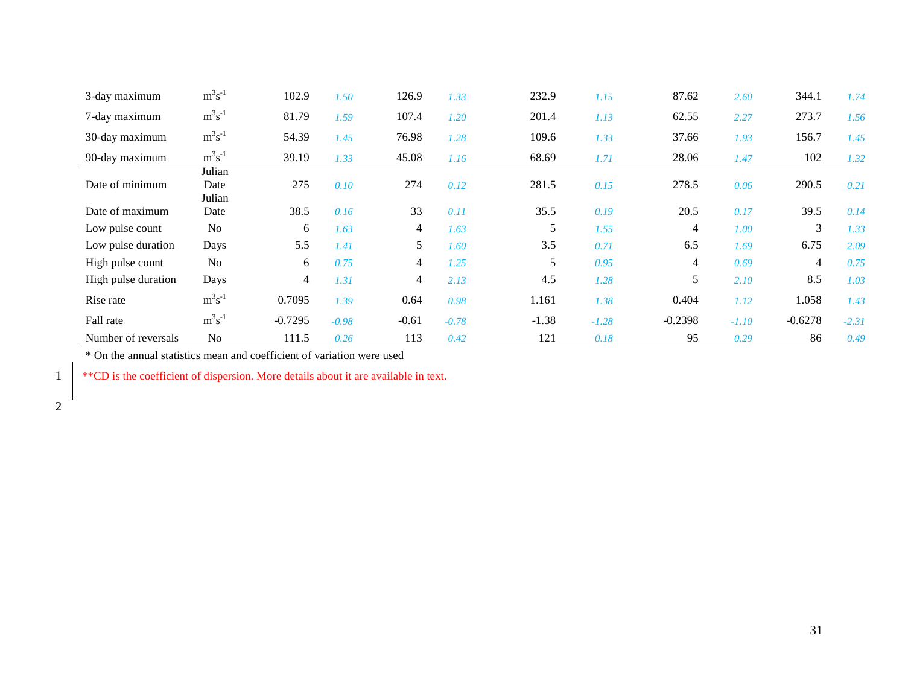| 3-day maximum       | $m^3s^{-1}$    | 102.9          | 1.50    | 126.9          | 1.33    | 232.9   | 1.15    | 87.62          | 2.60    | 344.1          | 1.74    |
|---------------------|----------------|----------------|---------|----------------|---------|---------|---------|----------------|---------|----------------|---------|
| 7-day maximum       | $m^3s^{-1}$    | 81.79          | 1.59    | 107.4          | 1.20    | 201.4   | 1.13    | 62.55          | 2.27    | 273.7          | 1.56    |
| 30-day maximum      | $m^3s^{-1}$    | 54.39          | 1.45    | 76.98          | 1.28    | 109.6   | 1.33    | 37.66          | 1.93    | 156.7          | 1.45    |
| 90-day maximum      | $m^3s^{-1}$    | 39.19          | 1.33    | 45.08          | 1.16    | 68.69   | 1.71    | 28.06          | 1.47    | 102            | 1.32    |
|                     | Julian         |                |         |                |         |         |         |                |         |                |         |
| Date of minimum     | Date           | 275            | 0.10    | 274            | 0.12    | 281.5   | 0.15    | 278.5          | 0.06    | 290.5          | 0.21    |
|                     | Julian         |                |         |                |         |         |         |                |         |                |         |
| Date of maximum     | Date           | 38.5           | 0.16    | 33             | 0.11    | 35.5    | 0.19    | 20.5           | 0.17    | 39.5           | 0.14    |
| Low pulse count     | No             | 6              | 1.63    | $\overline{4}$ | 1.63    | 5       | 1.55    | $\overline{4}$ | 1.00    | 3              | 1.33    |
| Low pulse duration  | Days           | 5.5            | 1.41    | 5              | 1.60    | 3.5     | 0.71    | 6.5            | 1.69    | 6.75           | 2.09    |
| High pulse count    | N <sub>o</sub> | 6              | 0.75    | $\overline{4}$ | 1.25    | 5       | 0.95    | 4              | 0.69    | $\overline{4}$ | 0.75    |
| High pulse duration | Days           | $\overline{4}$ | 1.31    | $\overline{4}$ | 2.13    | 4.5     | 1.28    | 5              | 2.10    | 8.5            | 1.03    |
| Rise rate           | $m^3s^{-1}$    | 0.7095         | 1.39    | 0.64           | 0.98    | 1.161   | 1.38    | 0.404          | 1.12    | 1.058          | 1.43    |
| Fall rate           | $m^3s^{-1}$    | $-0.7295$      | $-0.98$ | $-0.61$        | $-0.78$ | $-1.38$ | $-1.28$ | $-0.2398$      | $-1.10$ | $-0.6278$      | $-2.31$ |
| Number of reversals | N <sub>o</sub> | 111.5          | 0.26    | 113            | 0.42    | 121     | 0.18    | 95             | 0.29    | 86             | 0.49    |

\* On the annual statistics mean and coefficient of variation were used

<sup>\*\*</sup>CD is the coefficient of dispersion. More details about it are available in text.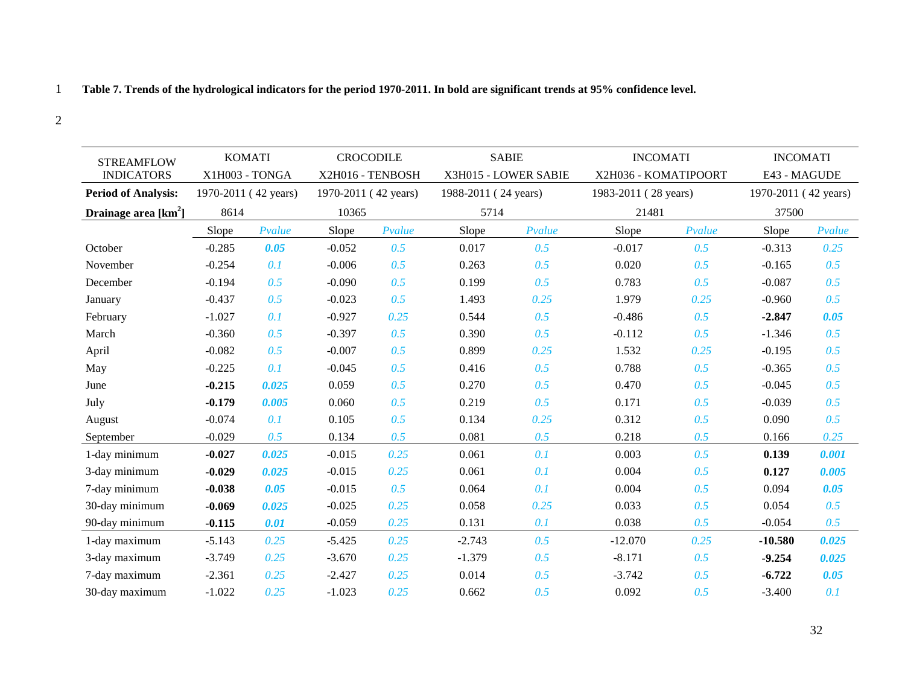## 1 **Table 7. Trends of the hydrological indicators for the period 1970-2011. In bold are significant trends at 95% confidence level.**

2

<span id="page-31-0"></span>

| <b>STREAMFLOW</b>          |                | <b>KOMATI</b>        |                      | <b>CROCODILE</b> |                      | <b>SABIE</b>         | <b>INCOMATI</b>      |        | <b>INCOMATI</b>      |              |  |  |
|----------------------------|----------------|----------------------|----------------------|------------------|----------------------|----------------------|----------------------|--------|----------------------|--------------|--|--|
| <b>INDICATORS</b>          | X1H003 - TONGA |                      |                      | X2H016 - TENBOSH |                      | X3H015 - LOWER SABIE | X2H036 - KOMATIPOORT |        |                      | E43 - MAGUDE |  |  |
| <b>Period of Analysis:</b> |                | 1970-2011 (42 years) | 1970-2011 (42 years) |                  | 1988-2011 (24 years) |                      | 1983-2011 (28 years) |        | 1970-2011 (42 years) |              |  |  |
| Drainage area $[km^2]$     | 8614           |                      | 10365                |                  | 5714                 |                      | 21481                |        | 37500                |              |  |  |
|                            | Slope          | Pvalue               | Slope                | Pvalue           | Slope                | Pvalue               | Slope                | Pvalue | Slope                | Pvalue       |  |  |
| October                    | $-0.285$       | 0.05                 | $-0.052$             | 0.5              | 0.017                | 0.5                  | $-0.017$             | 0.5    | $-0.313$             | 0.25         |  |  |
| November                   | $-0.254$       | 0.1                  | $-0.006$             | 0.5              | 0.263                | 0.5                  | 0.020                | 0.5    | $-0.165$             | 0.5          |  |  |
| December                   | $-0.194$       | 0.5                  | $-0.090$             | 0.5              | 0.199                | 0.5                  | 0.783                | 0.5    | $-0.087$             | 0.5          |  |  |
| January                    | $-0.437$       | 0.5                  | $-0.023$             | 0.5              | 1.493                | 0.25                 | 1.979                | 0.25   | $-0.960$             | 0.5          |  |  |
| February                   | $-1.027$       | 0.1                  | $-0.927$             | 0.25             | 0.544                | 0.5                  | $-0.486$             | 0.5    | $-2.847$             | 0.05         |  |  |
| March                      | $-0.360$       | 0.5                  | $-0.397$             | 0.5              | 0.390                | 0.5                  | $-0.112$             | 0.5    | $-1.346$             | 0.5          |  |  |
| April                      | $-0.082$       | 0.5                  | $-0.007$             | 0.5              | 0.899                | 0.25                 | 1.532                | 0.25   | $-0.195$             | 0.5          |  |  |
| May                        | $-0.225$       | 0.1                  | $-0.045$             | 0.5              | 0.416                | 0.5                  | 0.788                | 0.5    | $-0.365$             | 0.5          |  |  |
| June                       | $-0.215$       | 0.025                | 0.059                | 0.5              | 0.270                | 0.5                  | 0.470                | 0.5    | $-0.045$             | 0.5          |  |  |
| July                       | $-0.179$       | 0.005                | 0.060                | 0.5              | 0.219                | 0.5                  | 0.171                | 0.5    | $-0.039$             | 0.5          |  |  |
| August                     | $-0.074$       | 0.1                  | 0.105                | 0.5              | 0.134                | 0.25                 | 0.312                | 0.5    | 0.090                | 0.5          |  |  |
| September                  | $-0.029$       | 0.5                  | 0.134                | 0.5              | 0.081                | 0.5                  | 0.218                | 0.5    | 0.166                | 0.25         |  |  |
| 1-day minimum              | $-0.027$       | 0.025                | $-0.015$             | 0.25             | 0.061                | 0.1                  | 0.003                | 0.5    | 0.139                | 0.001        |  |  |
| 3-day minimum              | $-0.029$       | 0.025                | $-0.015$             | 0.25             | 0.061                | 0.1                  | 0.004                | 0.5    | 0.127                | 0.005        |  |  |
| 7-day minimum              | $-0.038$       | 0.05                 | $-0.015$             | 0.5              | 0.064                | 0.1                  | 0.004                | 0.5    | 0.094                | 0.05         |  |  |
| 30-day minimum             | $-0.069$       | 0.025                | $-0.025$             | 0.25             | 0.058                | 0.25                 | 0.033                | 0.5    | 0.054                | 0.5          |  |  |
| 90-day minimum             | $-0.115$       | 0.01                 | $-0.059$             | 0.25             | 0.131                | 0.1                  | 0.038                | 0.5    | $-0.054$             | 0.5          |  |  |
| 1-day maximum              | $-5.143$       | 0.25                 | $-5.425$             | 0.25             | $-2.743$             | 0.5                  | $-12.070$            | 0.25   | $-10.580$            | 0.025        |  |  |
| 3-day maximum              | $-3.749$       | 0.25                 | $-3.670$             | 0.25             | $-1.379$             | 0.5                  | $-8.171$             | 0.5    | $-9.254$             | 0.025        |  |  |
| 7-day maximum              | $-2.361$       | 0.25                 | $-2.427$             | 0.25             | 0.014                | 0.5                  | $-3.742$             | 0.5    | $-6.722$             | 0.05         |  |  |
| 30-day maximum             | $-1.022$       | 0.25                 | $-1.023$             | 0.25             | 0.662                | 0.5                  | 0.092                | 0.5    | $-3.400$             | 0.1          |  |  |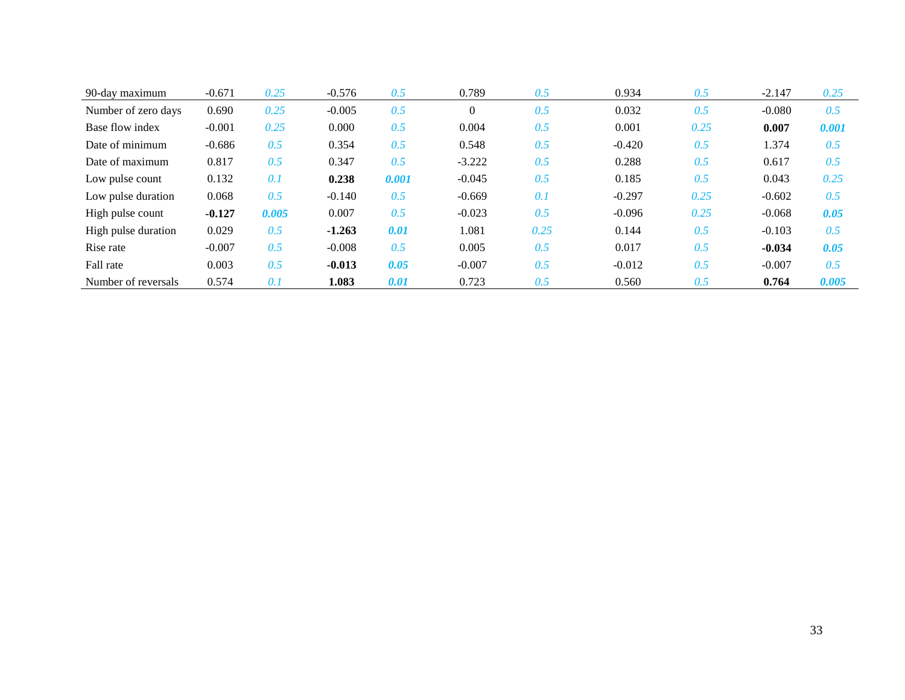| 90-day maximum      | $-0.671$ | 0.25  | $-0.576$ | 0.5   | 0.789    | 0.5  | 0.934    | 0.5  | $-2.147$ | 0.25  |
|---------------------|----------|-------|----------|-------|----------|------|----------|------|----------|-------|
| Number of zero days | 0.690    | 0.25  | $-0.005$ | 0.5   | $\theta$ | 0.5  | 0.032    | 0.5  | $-0.080$ | 0.5   |
| Base flow index     | $-0.001$ | 0.25  | 0.000    | 0.5   | 0.004    | 0.5  | 0.001    | 0.25 | 0.007    | 0.001 |
| Date of minimum     | $-0.686$ | 0.5   | 0.354    | 0.5   | 0.548    | 0.5  | $-0.420$ | 0.5  | 1.374    | 0.5   |
| Date of maximum     | 0.817    | 0.5   | 0.347    | 0.5   | $-3.222$ | 0.5  | 0.288    | 0.5  | 0.617    | 0.5   |
| Low pulse count     | 0.132    | 0.1   | 0.238    | 0.001 | $-0.045$ | 0.5  | 0.185    | 0.5  | 0.043    | 0.25  |
| Low pulse duration  | 0.068    | 0.5   | $-0.140$ | 0.5   | $-0.669$ | 0.1  | $-0.297$ | 0.25 | $-0.602$ | 0.5   |
| High pulse count    | $-0.127$ | 0.005 | 0.007    | 0.5   | $-0.023$ | 0.5  | $-0.096$ | 0.25 | $-0.068$ | 0.05  |
| High pulse duration | 0.029    | 0.5   | $-1.263$ | 0.01  | 1.081    | 0.25 | 0.144    | 0.5  | $-0.103$ | 0.5   |
| Rise rate           | $-0.007$ | 0.5   | $-0.008$ | 0.5   | 0.005    | 0.5  | 0.017    | 0.5  | $-0.034$ | 0.05  |
| Fall rate           | 0.003    | 0.5   | $-0.013$ | 0.05  | $-0.007$ | 0.5  | $-0.012$ | 0.5  | $-0.007$ | 0.5   |
| Number of reversals | 0.574    | 0.1   | 1.083    | 0.01  | 0.723    | 0.5  | 0.560    | 0.5  | 0.764    | 0.005 |